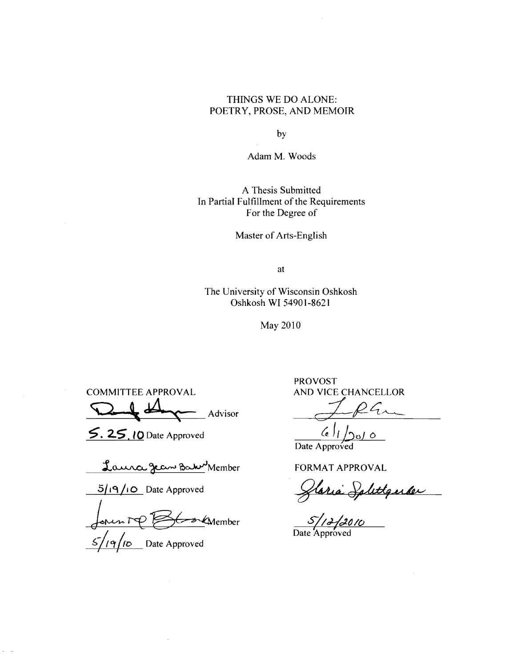### THINGS WE DO ALONE: POETRY, PROSE, AND MEMOIR

by

Adam M. Woods

A Thesis Submitted In Partial Fulfillment of the Requirements For the Degree of

Master of Arts-English

at

The University of Wisconsin Oshkosh Oshkosh WI 54901-8621

May 2010

COMMITTEE APPROVAL AND VICE CHANCELLOR  $\Omega$  of  $A$  advisor dependence

5. 25. 10 Date Approved

Laura Jean Barn Member

**5/19/10** Date Approved

 $\longleftarrow$   $\cancel{\text{F}}$   $\cancel{\text{F}}$   $\cancel{\text{F}}$  $\sqrt{q/10}$  Date Approved

PROVOST

 $61/200$ Date Approved

FORMAT APPROVAL

Staria Splettqueler

S/16/2010<br>Date Approved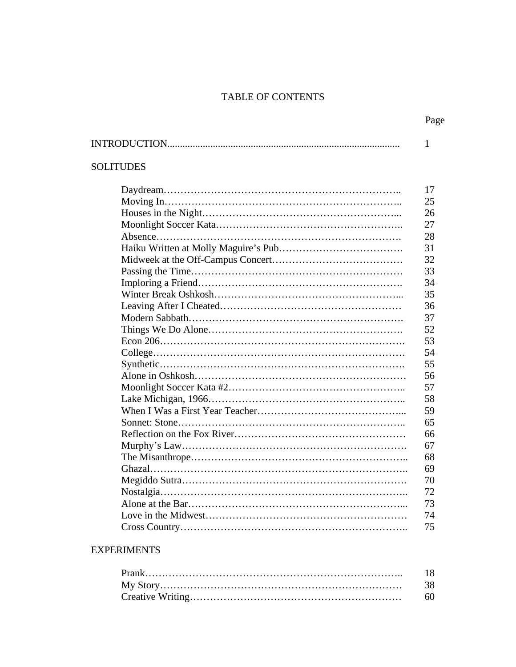## TABLE OF CONTENTS

|                  | Page         |
|------------------|--------------|
|                  | $\mathbf{1}$ |
| <b>SOLITUDES</b> |              |
|                  | 17           |
|                  | 25           |
|                  | 26           |
|                  | 27           |
|                  | 28           |
|                  | 31           |
|                  | 32           |
|                  | 33           |
|                  | 34           |
|                  | 35           |
|                  | 36           |
|                  | 37           |
|                  | 52           |
|                  | 53           |
|                  | 54           |
|                  | 55           |
|                  | 56           |
|                  | 57           |
|                  | 58           |
|                  | 59           |
|                  | 65           |
|                  | 66           |
|                  | 67           |
|                  | 68           |
|                  | 69           |
|                  | 70           |
|                  | 72           |
|                  | 73           |
|                  | 74           |
|                  | 75           |

# EXPERIMENTS

| 18 |
|----|
| 38 |
| 60 |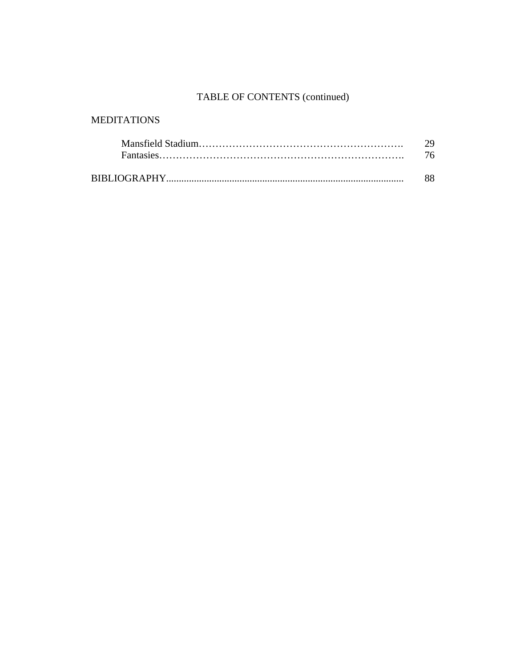# TABLE OF CONTENTS (continued)

# MEDITATIONS

| 29 |
|----|
| 76 |
|    |
| 88 |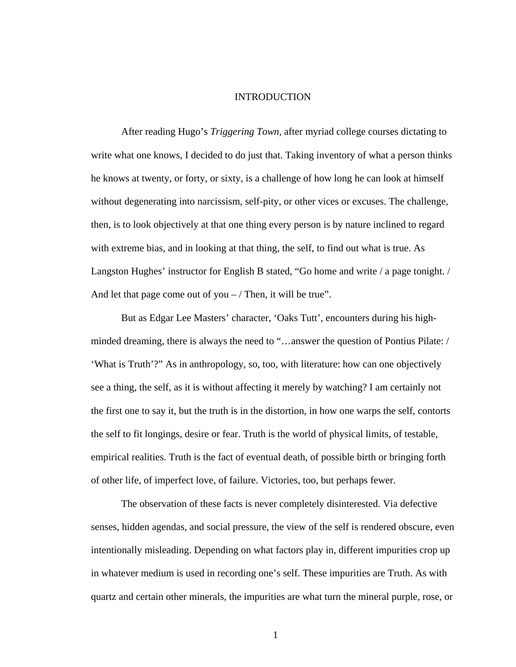#### INTRODUCTION

After reading Hugo's *Triggering Town*, after myriad college courses dictating to write what one knows, I decided to do just that. Taking inventory of what a person thinks he knows at twenty, or forty, or sixty, is a challenge of how long he can look at himself without degenerating into narcissism, self-pity, or other vices or excuses. The challenge, then, is to look objectively at that one thing every person is by nature inclined to regard with extreme bias, and in looking at that thing, the self, to find out what is true. As Langston Hughes' instructor for English B stated, "Go home and write / a page tonight. / And let that page come out of you  $-$  / Then, it will be true".

But as Edgar Lee Masters' character, 'Oaks Tutt', encounters during his highminded dreaming, there is always the need to "…answer the question of Pontius Pilate: / 'What is Truth'?" As in anthropology, so, too, with literature: how can one objectively see a thing, the self, as it is without affecting it merely by watching? I am certainly not the first one to say it, but the truth is in the distortion, in how one warps the self, contorts the self to fit longings, desire or fear. Truth is the world of physical limits, of testable, empirical realities. Truth is the fact of eventual death, of possible birth or bringing forth of other life, of imperfect love, of failure. Victories, too, but perhaps fewer.

The observation of these facts is never completely disinterested. Via defective senses, hidden agendas, and social pressure, the view of the self is rendered obscure, even intentionally misleading. Depending on what factors play in, different impurities crop up in whatever medium is used in recording one's self. These impurities are Truth. As with quartz and certain other minerals, the impurities are what turn the mineral purple, rose, or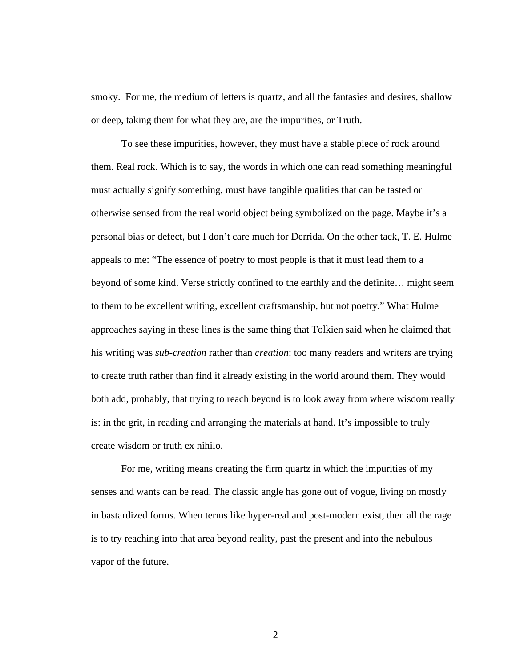smoky. For me, the medium of letters is quartz, and all the fantasies and desires, shallow or deep, taking them for what they are, are the impurities, or Truth.

To see these impurities, however, they must have a stable piece of rock around them. Real rock. Which is to say, the words in which one can read something meaningful must actually signify something, must have tangible qualities that can be tasted or otherwise sensed from the real world object being symbolized on the page. Maybe it's a personal bias or defect, but I don't care much for Derrida. On the other tack, T. E. Hulme appeals to me: "The essence of poetry to most people is that it must lead them to a beyond of some kind. Verse strictly confined to the earthly and the definite… might seem to them to be excellent writing, excellent craftsmanship, but not poetry." What Hulme approaches saying in these lines is the same thing that Tolkien said when he claimed that his writing was *sub-creation* rather than *creation*: too many readers and writers are trying to create truth rather than find it already existing in the world around them. They would both add, probably, that trying to reach beyond is to look away from where wisdom really is: in the grit, in reading and arranging the materials at hand. It's impossible to truly create wisdom or truth ex nihilo.

For me, writing means creating the firm quartz in which the impurities of my senses and wants can be read. The classic angle has gone out of vogue, living on mostly in bastardized forms. When terms like hyper-real and post-modern exist, then all the rage is to try reaching into that area beyond reality, past the present and into the nebulous vapor of the future.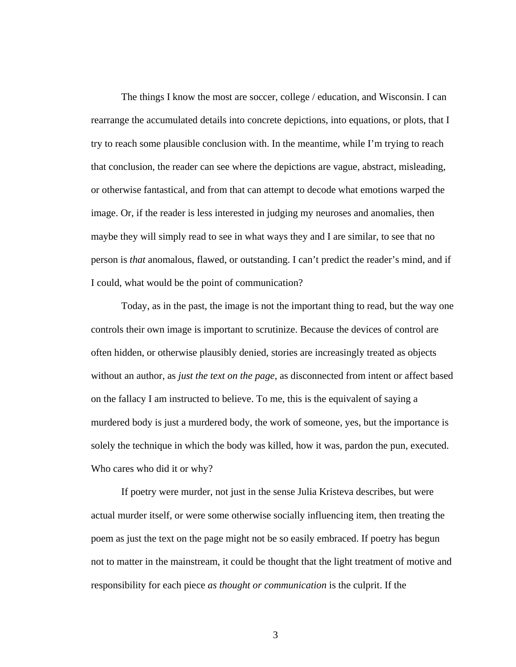The things I know the most are soccer, college / education, and Wisconsin. I can rearrange the accumulated details into concrete depictions, into equations, or plots, that I try to reach some plausible conclusion with. In the meantime, while I'm trying to reach that conclusion, the reader can see where the depictions are vague, abstract, misleading, or otherwise fantastical, and from that can attempt to decode what emotions warped the image. Or, if the reader is less interested in judging my neuroses and anomalies, then maybe they will simply read to see in what ways they and I are similar, to see that no person is *that* anomalous, flawed, or outstanding. I can't predict the reader's mind, and if I could, what would be the point of communication?

Today, as in the past, the image is not the important thing to read, but the way one controls their own image is important to scrutinize. Because the devices of control are often hidden, or otherwise plausibly denied, stories are increasingly treated as objects without an author, as *just the text on the page*, as disconnected from intent or affect based on the fallacy I am instructed to believe. To me, this is the equivalent of saying a murdered body is just a murdered body, the work of someone, yes, but the importance is solely the technique in which the body was killed, how it was, pardon the pun, executed. Who cares who did it or why?

If poetry were murder, not just in the sense Julia Kristeva describes, but were actual murder itself, or were some otherwise socially influencing item, then treating the poem as just the text on the page might not be so easily embraced. If poetry has begun not to matter in the mainstream, it could be thought that the light treatment of motive and responsibility for each piece *as thought or communication* is the culprit. If the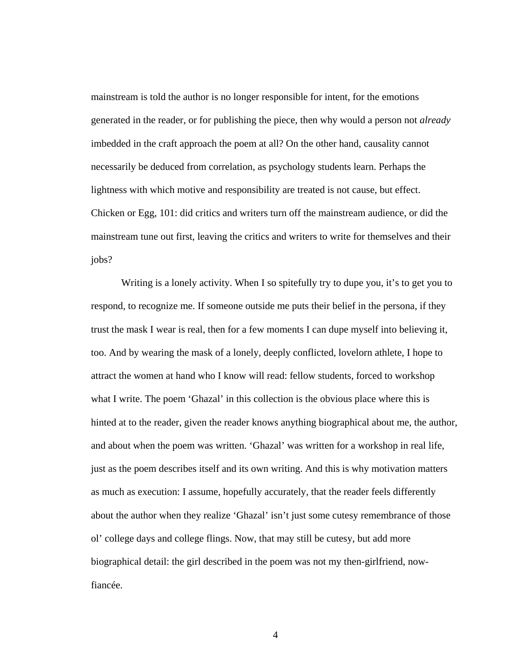mainstream is told the author is no longer responsible for intent, for the emotions generated in the reader, or for publishing the piece, then why would a person not *already* imbedded in the craft approach the poem at all? On the other hand, causality cannot necessarily be deduced from correlation, as psychology students learn. Perhaps the lightness with which motive and responsibility are treated is not cause, but effect. Chicken or Egg, 101: did critics and writers turn off the mainstream audience, or did the mainstream tune out first, leaving the critics and writers to write for themselves and their jobs?

Writing is a lonely activity. When I so spitefully try to dupe you, it's to get you to respond, to recognize me. If someone outside me puts their belief in the persona, if they trust the mask I wear is real, then for a few moments I can dupe myself into believing it, too. And by wearing the mask of a lonely, deeply conflicted, lovelorn athlete, I hope to attract the women at hand who I know will read: fellow students, forced to workshop what I write. The poem 'Ghazal' in this collection is the obvious place where this is hinted at to the reader, given the reader knows anything biographical about me, the author, and about when the poem was written. 'Ghazal' was written for a workshop in real life, just as the poem describes itself and its own writing. And this is why motivation matters as much as execution: I assume, hopefully accurately, that the reader feels differently about the author when they realize 'Ghazal' isn't just some cutesy remembrance of those ol' college days and college flings. Now, that may still be cutesy, but add more biographical detail: the girl described in the poem was not my then-girlfriend, nowfiancée.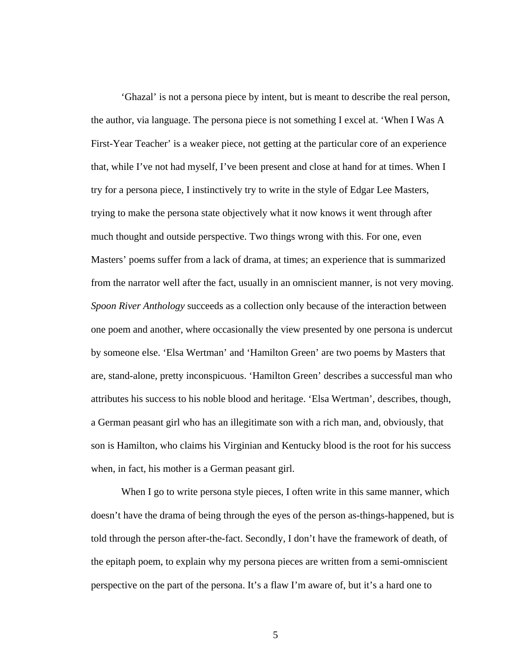'Ghazal' is not a persona piece by intent, but is meant to describe the real person, the author, via language. The persona piece is not something I excel at. 'When I Was A First-Year Teacher' is a weaker piece, not getting at the particular core of an experience that, while I've not had myself, I've been present and close at hand for at times. When I try for a persona piece, I instinctively try to write in the style of Edgar Lee Masters, trying to make the persona state objectively what it now knows it went through after much thought and outside perspective. Two things wrong with this. For one, even Masters' poems suffer from a lack of drama, at times; an experience that is summarized from the narrator well after the fact, usually in an omniscient manner, is not very moving. *Spoon River Anthology* succeeds as a collection only because of the interaction between one poem and another, where occasionally the view presented by one persona is undercut by someone else. 'Elsa Wertman' and 'Hamilton Green' are two poems by Masters that are, stand-alone, pretty inconspicuous. 'Hamilton Green' describes a successful man who attributes his success to his noble blood and heritage. 'Elsa Wertman', describes, though, a German peasant girl who has an illegitimate son with a rich man, and, obviously, that son is Hamilton, who claims his Virginian and Kentucky blood is the root for his success when, in fact, his mother is a German peasant girl.

When I go to write persona style pieces, I often write in this same manner, which doesn't have the drama of being through the eyes of the person as-things-happened, but is told through the person after-the-fact. Secondly, I don't have the framework of death, of the epitaph poem, to explain why my persona pieces are written from a semi-omniscient perspective on the part of the persona. It's a flaw I'm aware of, but it's a hard one to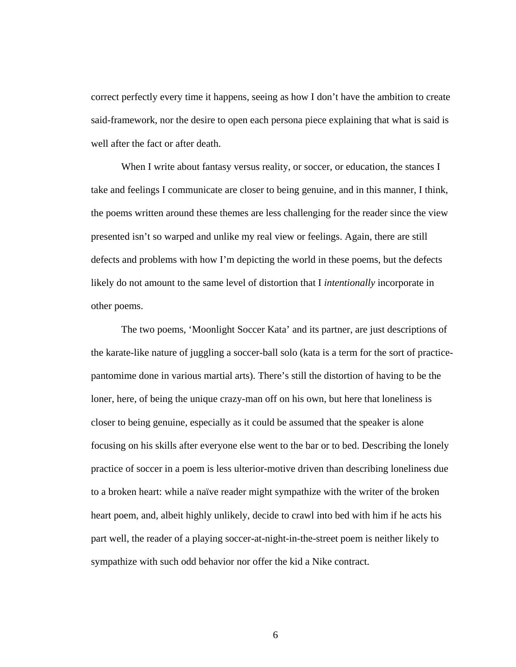correct perfectly every time it happens, seeing as how I don't have the ambition to create said-framework, nor the desire to open each persona piece explaining that what is said is well after the fact or after death.

When I write about fantasy versus reality, or soccer, or education, the stances I take and feelings I communicate are closer to being genuine, and in this manner, I think, the poems written around these themes are less challenging for the reader since the view presented isn't so warped and unlike my real view or feelings. Again, there are still defects and problems with how I'm depicting the world in these poems, but the defects likely do not amount to the same level of distortion that I *intentionally* incorporate in other poems.

The two poems, 'Moonlight Soccer Kata' and its partner, are just descriptions of the karate-like nature of juggling a soccer-ball solo (kata is a term for the sort of practicepantomime done in various martial arts). There's still the distortion of having to be the loner, here, of being the unique crazy-man off on his own, but here that loneliness is closer to being genuine, especially as it could be assumed that the speaker is alone focusing on his skills after everyone else went to the bar or to bed. Describing the lonely practice of soccer in a poem is less ulterior-motive driven than describing loneliness due to a broken heart: while a naïve reader might sympathize with the writer of the broken heart poem, and, albeit highly unlikely, decide to crawl into bed with him if he acts his part well, the reader of a playing soccer-at-night-in-the-street poem is neither likely to sympathize with such odd behavior nor offer the kid a Nike contract.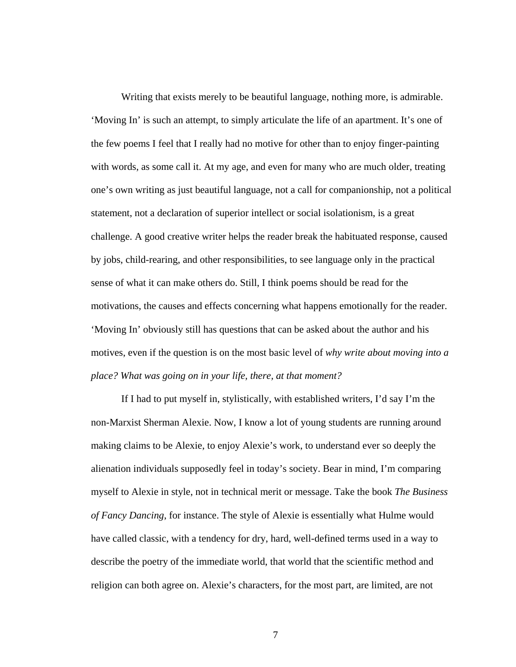Writing that exists merely to be beautiful language, nothing more, is admirable. 'Moving In' is such an attempt, to simply articulate the life of an apartment. It's one of the few poems I feel that I really had no motive for other than to enjoy finger-painting with words, as some call it. At my age, and even for many who are much older, treating one's own writing as just beautiful language, not a call for companionship, not a political statement, not a declaration of superior intellect or social isolationism, is a great challenge. A good creative writer helps the reader break the habituated response, caused by jobs, child-rearing, and other responsibilities, to see language only in the practical sense of what it can make others do. Still, I think poems should be read for the motivations, the causes and effects concerning what happens emotionally for the reader. 'Moving In' obviously still has questions that can be asked about the author and his motives, even if the question is on the most basic level of *why write about moving into a place? What was going on in your life, there, at that moment?* 

If I had to put myself in, stylistically, with established writers, I'd say I'm the non-Marxist Sherman Alexie. Now, I know a lot of young students are running around making claims to be Alexie, to enjoy Alexie's work, to understand ever so deeply the alienation individuals supposedly feel in today's society. Bear in mind, I'm comparing myself to Alexie in style, not in technical merit or message. Take the book *The Business of Fancy Dancing*, for instance. The style of Alexie is essentially what Hulme would have called classic, with a tendency for dry, hard, well-defined terms used in a way to describe the poetry of the immediate world, that world that the scientific method and religion can both agree on. Alexie's characters, for the most part, are limited, are not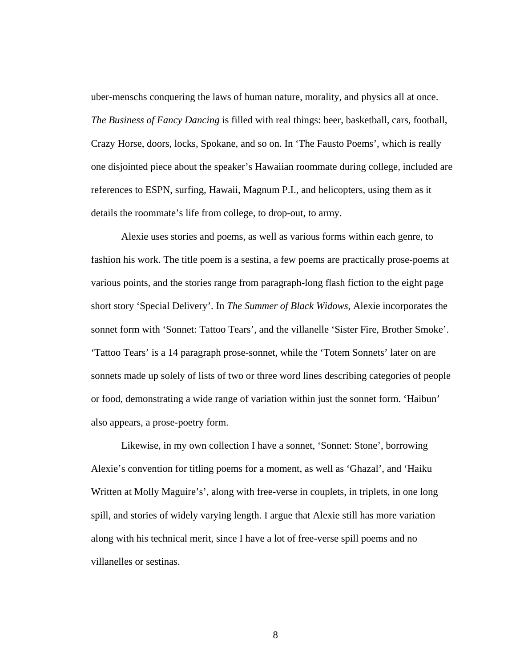uber-menschs conquering the laws of human nature, morality, and physics all at once. *The Business of Fancy Dancing* is filled with real things: beer, basketball, cars, football, Crazy Horse, doors, locks, Spokane, and so on. In 'The Fausto Poems', which is really one disjointed piece about the speaker's Hawaiian roommate during college, included are references to ESPN, surfing, Hawaii, Magnum P.I., and helicopters, using them as it details the roommate's life from college, to drop-out, to army.

Alexie uses stories and poems, as well as various forms within each genre, to fashion his work. The title poem is a sestina, a few poems are practically prose-poems at various points, and the stories range from paragraph-long flash fiction to the eight page short story 'Special Delivery'. In *The Summer of Black Widows*, Alexie incorporates the sonnet form with 'Sonnet: Tattoo Tears', and the villanelle 'Sister Fire, Brother Smoke'. 'Tattoo Tears' is a 14 paragraph prose-sonnet, while the 'Totem Sonnets' later on are sonnets made up solely of lists of two or three word lines describing categories of people or food, demonstrating a wide range of variation within just the sonnet form. 'Haibun' also appears, a prose-poetry form.

Likewise, in my own collection I have a sonnet, 'Sonnet: Stone', borrowing Alexie's convention for titling poems for a moment, as well as 'Ghazal', and 'Haiku Written at Molly Maguire's', along with free-verse in couplets, in triplets, in one long spill, and stories of widely varying length. I argue that Alexie still has more variation along with his technical merit, since I have a lot of free-verse spill poems and no villanelles or sestinas.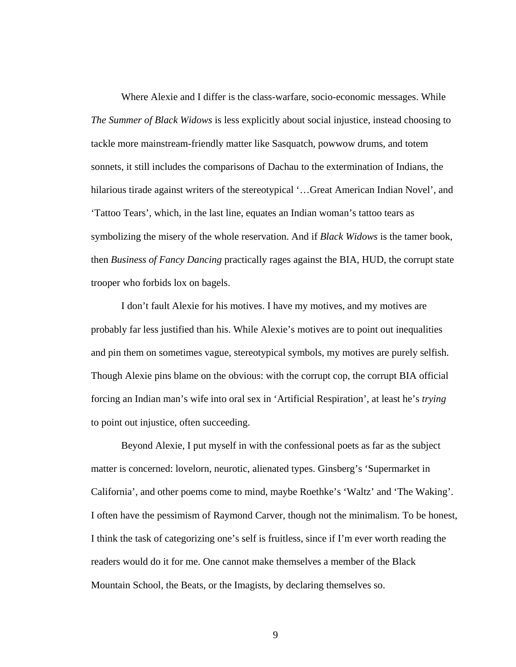Where Alexie and I differ is the class-warfare, socio-economic messages. While *The Summer of Black Widows* is less explicitly about social injustice, instead choosing to tackle more mainstream-friendly matter like Sasquatch, powwow drums, and totem sonnets, it still includes the comparisons of Dachau to the extermination of Indians, the hilarious tirade against writers of the stereotypical '...Great American Indian Novel', and 'Tattoo Tears', which, in the last line, equates an Indian woman's tattoo tears as symbolizing the misery of the whole reservation. And if *Black Widows* is the tamer book, then *Business of Fancy Dancing* practically rages against the BIA, HUD, the corrupt state trooper who forbids lox on bagels.

I don't fault Alexie for his motives. I have my motives, and my motives are probably far less justified than his. While Alexie's motives are to point out inequalities and pin them on sometimes vague, stereotypical symbols, my motives are purely selfish. Though Alexie pins blame on the obvious: with the corrupt cop, the corrupt BIA official forcing an Indian man's wife into oral sex in 'Artificial Respiration', at least he's *trying* to point out injustice, often succeeding.

Beyond Alexie, I put myself in with the confessional poets as far as the subject matter is concerned: lovelorn, neurotic, alienated types. Ginsberg's 'Supermarket in California', and other poems come to mind, maybe Roethke's 'Waltz' and 'The Waking'. I often have the pessimism of Raymond Carver, though not the minimalism. To be honest, I think the task of categorizing one's self is fruitless, since if I'm ever worth reading the readers would do it for me. One cannot make themselves a member of the Black Mountain School, the Beats, or the Imagists, by declaring themselves so.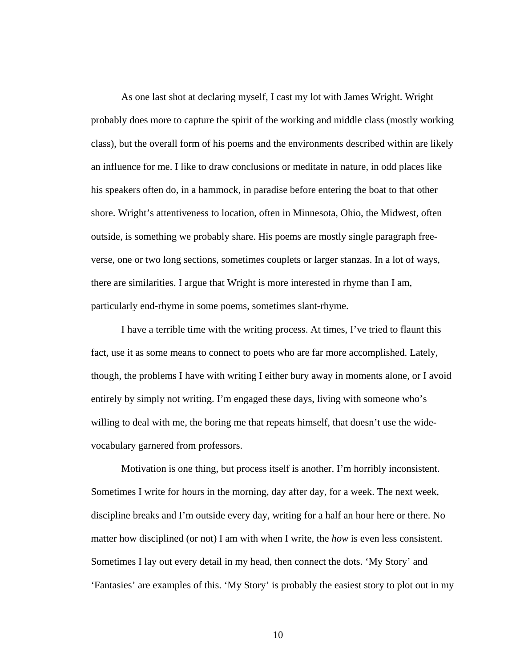As one last shot at declaring myself, I cast my lot with James Wright. Wright probably does more to capture the spirit of the working and middle class (mostly working class), but the overall form of his poems and the environments described within are likely an influence for me. I like to draw conclusions or meditate in nature, in odd places like his speakers often do, in a hammock, in paradise before entering the boat to that other shore. Wright's attentiveness to location, often in Minnesota, Ohio, the Midwest, often outside, is something we probably share. His poems are mostly single paragraph freeverse, one or two long sections, sometimes couplets or larger stanzas. In a lot of ways, there are similarities. I argue that Wright is more interested in rhyme than I am, particularly end-rhyme in some poems, sometimes slant-rhyme.

I have a terrible time with the writing process. At times, I've tried to flaunt this fact, use it as some means to connect to poets who are far more accomplished. Lately, though, the problems I have with writing I either bury away in moments alone, or I avoid entirely by simply not writing. I'm engaged these days, living with someone who's willing to deal with me, the boring me that repeats himself, that doesn't use the widevocabulary garnered from professors.

Motivation is one thing, but process itself is another. I'm horribly inconsistent. Sometimes I write for hours in the morning, day after day, for a week. The next week, discipline breaks and I'm outside every day, writing for a half an hour here or there. No matter how disciplined (or not) I am with when I write, the *how* is even less consistent. Sometimes I lay out every detail in my head, then connect the dots. 'My Story' and 'Fantasies' are examples of this. 'My Story' is probably the easiest story to plot out in my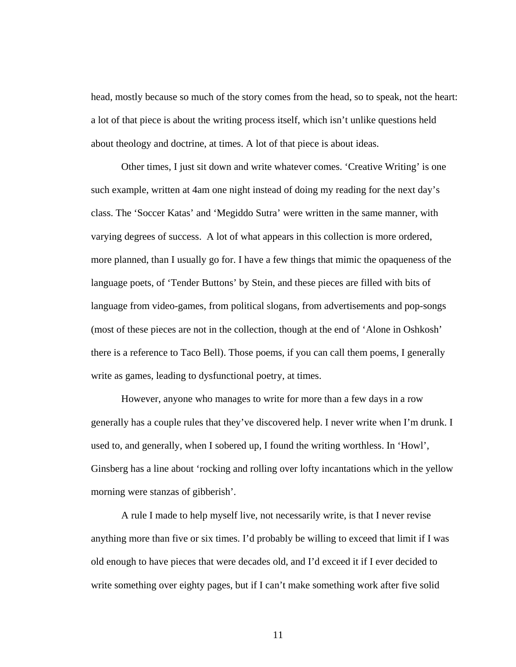head, mostly because so much of the story comes from the head, so to speak, not the heart: a lot of that piece is about the writing process itself, which isn't unlike questions held about theology and doctrine, at times. A lot of that piece is about ideas.

Other times, I just sit down and write whatever comes. 'Creative Writing' is one such example, written at 4am one night instead of doing my reading for the next day's class. The 'Soccer Katas' and 'Megiddo Sutra' were written in the same manner, with varying degrees of success. A lot of what appears in this collection is more ordered, more planned, than I usually go for. I have a few things that mimic the opaqueness of the language poets, of 'Tender Buttons' by Stein, and these pieces are filled with bits of language from video-games, from political slogans, from advertisements and pop-songs (most of these pieces are not in the collection, though at the end of 'Alone in Oshkosh' there is a reference to Taco Bell). Those poems, if you can call them poems, I generally write as games, leading to dysfunctional poetry, at times.

However, anyone who manages to write for more than a few days in a row generally has a couple rules that they've discovered help. I never write when I'm drunk. I used to, and generally, when I sobered up, I found the writing worthless. In 'Howl', Ginsberg has a line about 'rocking and rolling over lofty incantations which in the yellow morning were stanzas of gibberish'.

A rule I made to help myself live, not necessarily write, is that I never revise anything more than five or six times. I'd probably be willing to exceed that limit if I was old enough to have pieces that were decades old, and I'd exceed it if I ever decided to write something over eighty pages, but if I can't make something work after five solid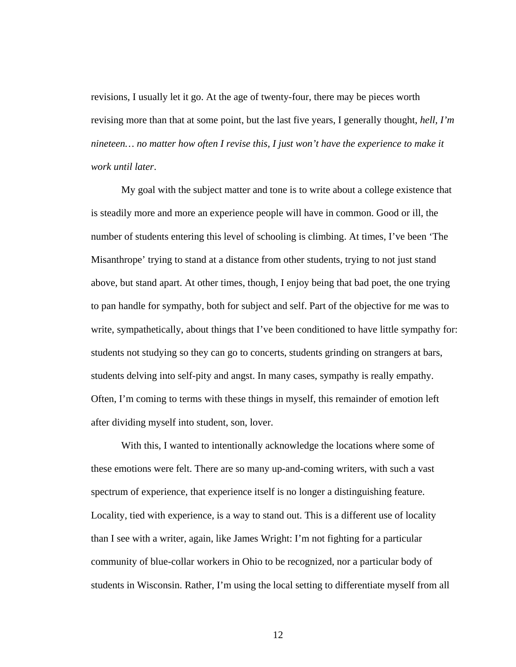revisions, I usually let it go. At the age of twenty-four, there may be pieces worth revising more than that at some point, but the last five years, I generally thought, *hell, I'm nineteen… no matter how often I revise this, I just won't have the experience to make it work until later*.

My goal with the subject matter and tone is to write about a college existence that is steadily more and more an experience people will have in common. Good or ill, the number of students entering this level of schooling is climbing. At times, I've been 'The Misanthrope' trying to stand at a distance from other students, trying to not just stand above, but stand apart. At other times, though, I enjoy being that bad poet, the one trying to pan handle for sympathy, both for subject and self. Part of the objective for me was to write, sympathetically, about things that I've been conditioned to have little sympathy for: students not studying so they can go to concerts, students grinding on strangers at bars, students delving into self-pity and angst. In many cases, sympathy is really empathy. Often, I'm coming to terms with these things in myself, this remainder of emotion left after dividing myself into student, son, lover.

With this, I wanted to intentionally acknowledge the locations where some of these emotions were felt. There are so many up-and-coming writers, with such a vast spectrum of experience, that experience itself is no longer a distinguishing feature. Locality, tied with experience, is a way to stand out. This is a different use of locality than I see with a writer, again, like James Wright: I'm not fighting for a particular community of blue-collar workers in Ohio to be recognized, nor a particular body of students in Wisconsin. Rather, I'm using the local setting to differentiate myself from all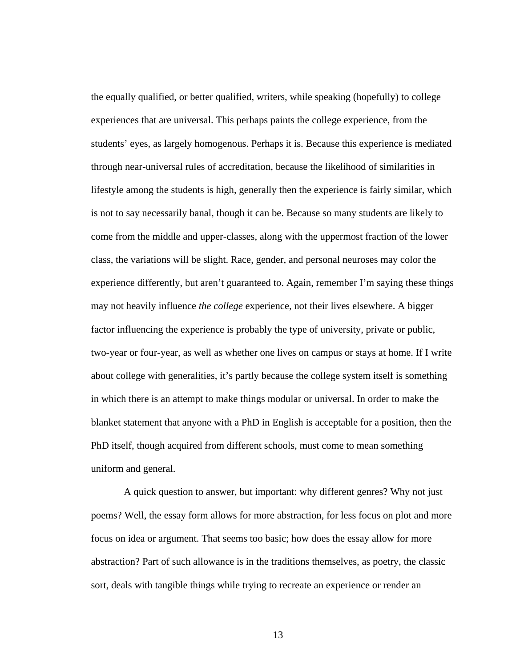the equally qualified, or better qualified, writers, while speaking (hopefully) to college experiences that are universal. This perhaps paints the college experience, from the students' eyes, as largely homogenous. Perhaps it is. Because this experience is mediated through near-universal rules of accreditation, because the likelihood of similarities in lifestyle among the students is high, generally then the experience is fairly similar, which is not to say necessarily banal, though it can be. Because so many students are likely to come from the middle and upper-classes, along with the uppermost fraction of the lower class, the variations will be slight. Race, gender, and personal neuroses may color the experience differently, but aren't guaranteed to. Again, remember I'm saying these things may not heavily influence *the college* experience, not their lives elsewhere. A bigger factor influencing the experience is probably the type of university, private or public, two-year or four-year, as well as whether one lives on campus or stays at home. If I write about college with generalities, it's partly because the college system itself is something in which there is an attempt to make things modular or universal. In order to make the blanket statement that anyone with a PhD in English is acceptable for a position, then the PhD itself, though acquired from different schools, must come to mean something uniform and general.

A quick question to answer, but important: why different genres? Why not just poems? Well, the essay form allows for more abstraction, for less focus on plot and more focus on idea or argument. That seems too basic; how does the essay allow for more abstraction? Part of such allowance is in the traditions themselves, as poetry, the classic sort, deals with tangible things while trying to recreate an experience or render an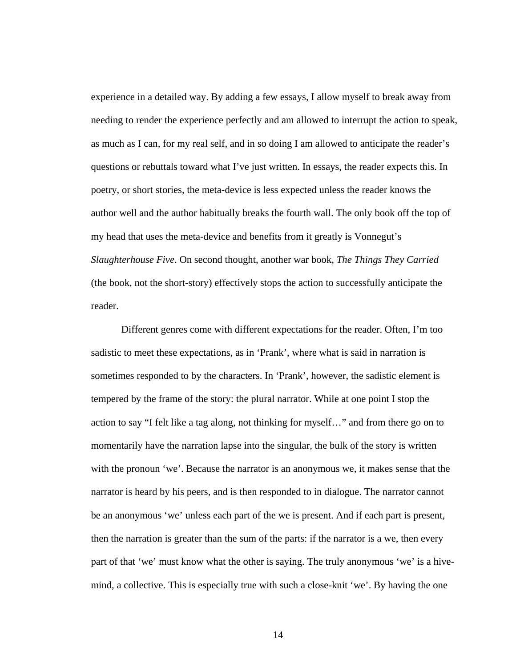experience in a detailed way. By adding a few essays, I allow myself to break away from needing to render the experience perfectly and am allowed to interrupt the action to speak, as much as I can, for my real self, and in so doing I am allowed to anticipate the reader's questions or rebuttals toward what I've just written. In essays, the reader expects this. In poetry, or short stories, the meta-device is less expected unless the reader knows the author well and the author habitually breaks the fourth wall. The only book off the top of my head that uses the meta-device and benefits from it greatly is Vonnegut's *Slaughterhouse Five*. On second thought, another war book, *The Things They Carried* (the book, not the short-story) effectively stops the action to successfully anticipate the reader.

Different genres come with different expectations for the reader. Often, I'm too sadistic to meet these expectations, as in 'Prank', where what is said in narration is sometimes responded to by the characters. In 'Prank', however, the sadistic element is tempered by the frame of the story: the plural narrator. While at one point I stop the action to say "I felt like a tag along, not thinking for myself…" and from there go on to momentarily have the narration lapse into the singular, the bulk of the story is written with the pronoun 'we'. Because the narrator is an anonymous we, it makes sense that the narrator is heard by his peers, and is then responded to in dialogue. The narrator cannot be an anonymous 'we' unless each part of the we is present. And if each part is present, then the narration is greater than the sum of the parts: if the narrator is a we, then every part of that 'we' must know what the other is saying. The truly anonymous 'we' is a hivemind, a collective. This is especially true with such a close-knit 'we'. By having the one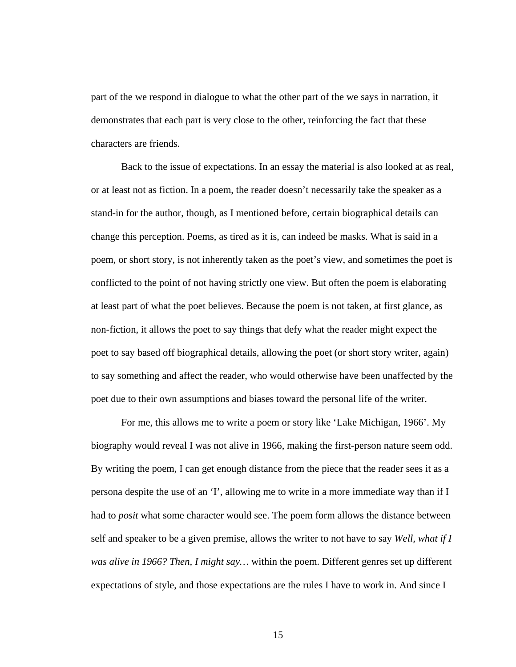part of the we respond in dialogue to what the other part of the we says in narration, it demonstrates that each part is very close to the other, reinforcing the fact that these characters are friends.

Back to the issue of expectations. In an essay the material is also looked at as real, or at least not as fiction. In a poem, the reader doesn't necessarily take the speaker as a stand-in for the author, though, as I mentioned before, certain biographical details can change this perception. Poems, as tired as it is, can indeed be masks. What is said in a poem, or short story, is not inherently taken as the poet's view, and sometimes the poet is conflicted to the point of not having strictly one view. But often the poem is elaborating at least part of what the poet believes. Because the poem is not taken, at first glance, as non-fiction, it allows the poet to say things that defy what the reader might expect the poet to say based off biographical details, allowing the poet (or short story writer, again) to say something and affect the reader, who would otherwise have been unaffected by the poet due to their own assumptions and biases toward the personal life of the writer.

For me, this allows me to write a poem or story like 'Lake Michigan, 1966'. My biography would reveal I was not alive in 1966, making the first-person nature seem odd. By writing the poem, I can get enough distance from the piece that the reader sees it as a persona despite the use of an 'I', allowing me to write in a more immediate way than if I had to *posit* what some character would see. The poem form allows the distance between self and speaker to be a given premise, allows the writer to not have to say *Well, what if I was alive in 1966? Then, I might say…* within the poem. Different genres set up different expectations of style, and those expectations are the rules I have to work in. And since I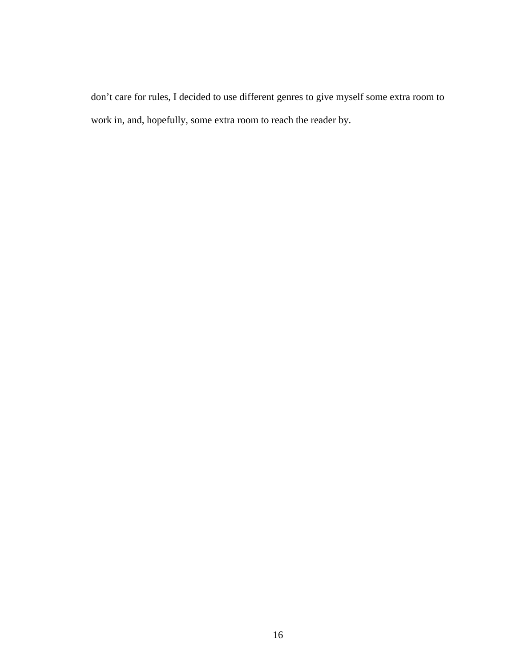don't care for rules, I decided to use different genres to give myself some extra room to work in, and, hopefully, some extra room to reach the reader by.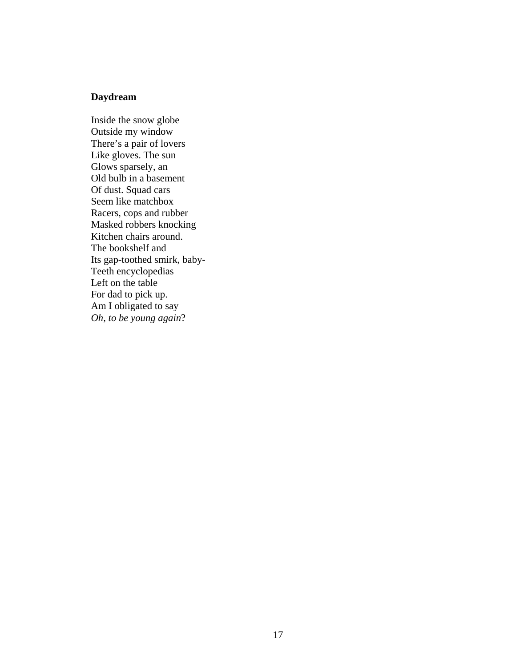### **Daydream**

Inside the snow globe Outside my window There's a pair of lovers Like gloves. The sun Glows sparsely, an Old bulb in a basement Of dust. Squad cars Seem like matchbox Racers, cops and rubber Masked robbers knocking Kitchen chairs around. The bookshelf and Its gap-toothed smirk, baby-Teeth encyclopedias Left on the table For dad to pick up. Am I obligated to say *Oh, to be young again*?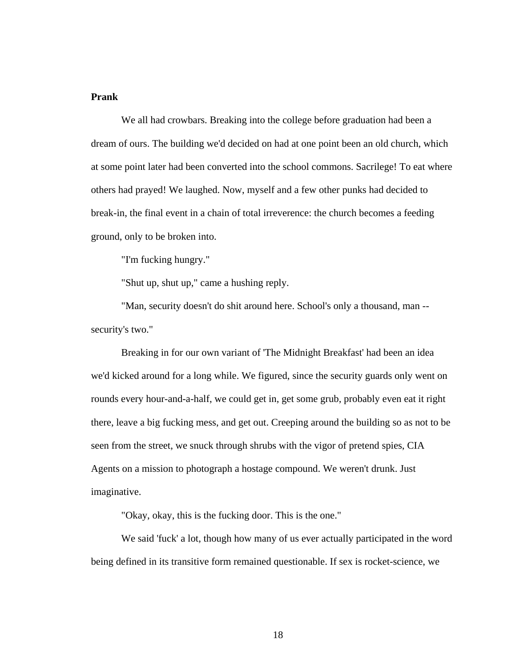### **Prank**

We all had crowbars. Breaking into the college before graduation had been a dream of ours. The building we'd decided on had at one point been an old church, which at some point later had been converted into the school commons. Sacrilege! To eat where others had prayed! We laughed. Now, myself and a few other punks had decided to break-in, the final event in a chain of total irreverence: the church becomes a feeding ground, only to be broken into.

"I'm fucking hungry."

"Shut up, shut up," came a hushing reply.

"Man, security doesn't do shit around here. School's only a thousand, man - security's two."

Breaking in for our own variant of 'The Midnight Breakfast' had been an idea we'd kicked around for a long while. We figured, since the security guards only went on rounds every hour-and-a-half, we could get in, get some grub, probably even eat it right there, leave a big fucking mess, and get out. Creeping around the building so as not to be seen from the street, we snuck through shrubs with the vigor of pretend spies, CIA Agents on a mission to photograph a hostage compound. We weren't drunk. Just imaginative.

"Okay, okay, this is the fucking door. This is the one."

We said 'fuck' a lot, though how many of us ever actually participated in the word being defined in its transitive form remained questionable. If sex is rocket-science, we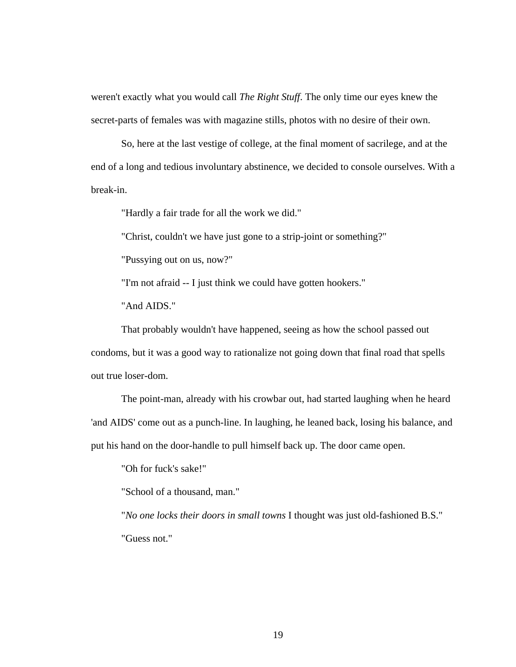weren't exactly what you would call *The Right Stuff*. The only time our eyes knew the secret-parts of females was with magazine stills, photos with no desire of their own.

So, here at the last vestige of college, at the final moment of sacrilege, and at the end of a long and tedious involuntary abstinence, we decided to console ourselves. With a break-in.

"Hardly a fair trade for all the work we did."

"Christ, couldn't we have just gone to a strip-joint or something?"

"Pussying out on us, now?"

"I'm not afraid -- I just think we could have gotten hookers."

"And AIDS."

That probably wouldn't have happened, seeing as how the school passed out condoms, but it was a good way to rationalize not going down that final road that spells out true loser-dom.

The point-man, already with his crowbar out, had started laughing when he heard 'and AIDS' come out as a punch-line. In laughing, he leaned back, losing his balance, and put his hand on the door-handle to pull himself back up. The door came open.

"Oh for fuck's sake!"

"School of a thousand, man."

"*No one locks their doors in small towns* I thought was just old-fashioned B.S." "Guess not."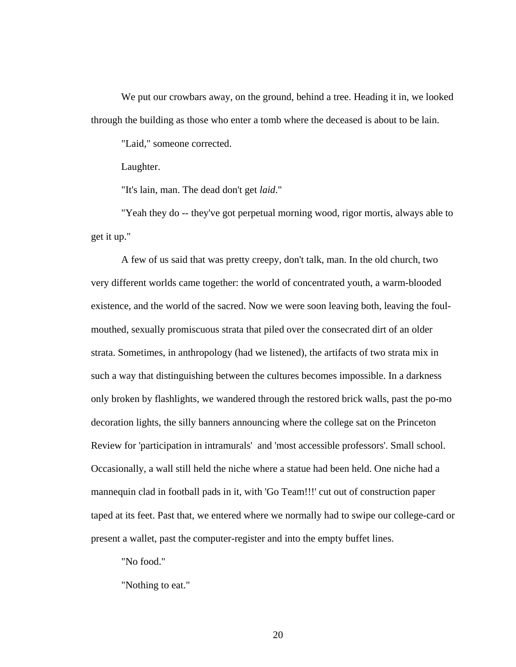We put our crowbars away, on the ground, behind a tree. Heading it in, we looked through the building as those who enter a tomb where the deceased is about to be lain.

"Laid," someone corrected.

Laughter.

"It's lain, man. The dead don't get *laid*."

"Yeah they do -- they've got perpetual morning wood, rigor mortis, always able to get it up."

A few of us said that was pretty creepy, don't talk, man. In the old church, two very different worlds came together: the world of concentrated youth, a warm-blooded existence, and the world of the sacred. Now we were soon leaving both, leaving the foulmouthed, sexually promiscuous strata that piled over the consecrated dirt of an older strata. Sometimes, in anthropology (had we listened), the artifacts of two strata mix in such a way that distinguishing between the cultures becomes impossible. In a darkness only broken by flashlights, we wandered through the restored brick walls, past the po-mo decoration lights, the silly banners announcing where the college sat on the Princeton Review for 'participation in intramurals' and 'most accessible professors'. Small school. Occasionally, a wall still held the niche where a statue had been held. One niche had a mannequin clad in football pads in it, with 'Go Team!!!' cut out of construction paper taped at its feet. Past that, we entered where we normally had to swipe our college-card or present a wallet, past the computer-register and into the empty buffet lines.

"No food."

"Nothing to eat."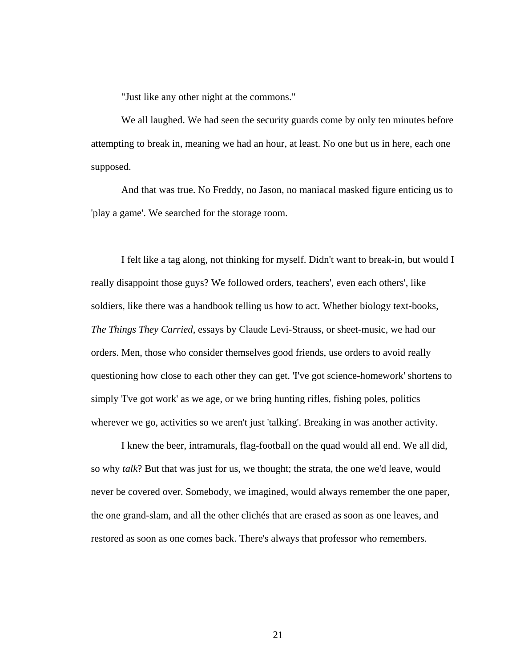"Just like any other night at the commons."

We all laughed. We had seen the security guards come by only ten minutes before attempting to break in, meaning we had an hour, at least. No one but us in here, each one supposed.

And that was true. No Freddy, no Jason, no maniacal masked figure enticing us to 'play a game'. We searched for the storage room.

I felt like a tag along, not thinking for myself. Didn't want to break-in, but would I really disappoint those guys? We followed orders, teachers', even each others', like soldiers, like there was a handbook telling us how to act. Whether biology text-books, *The Things They Carried*, essays by Claude Levi-Strauss, or sheet-music, we had our orders. Men, those who consider themselves good friends, use orders to avoid really questioning how close to each other they can get. 'I've got science-homework' shortens to simply 'I've got work' as we age, or we bring hunting rifles, fishing poles, politics wherever we go, activities so we aren't just 'talking'. Breaking in was another activity.

I knew the beer, intramurals, flag-football on the quad would all end. We all did, so why *talk*? But that was just for us, we thought; the strata, the one we'd leave, would never be covered over. Somebody, we imagined, would always remember the one paper, the one grand-slam, and all the other clichés that are erased as soon as one leaves, and restored as soon as one comes back. There's always that professor who remembers.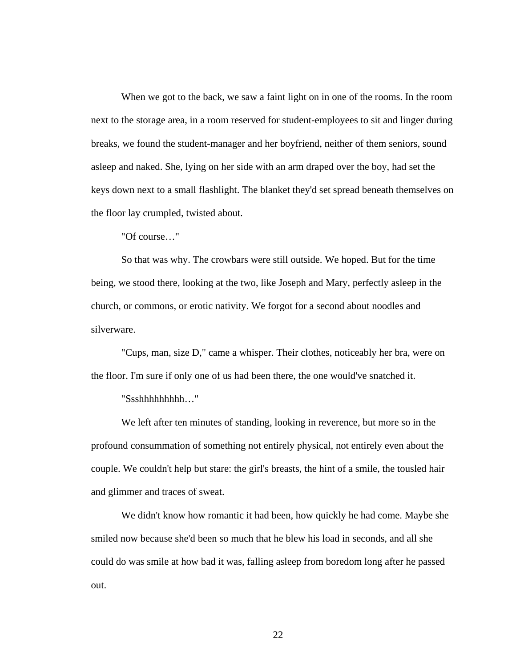When we got to the back, we saw a faint light on in one of the rooms. In the room next to the storage area, in a room reserved for student-employees to sit and linger during breaks, we found the student-manager and her boyfriend, neither of them seniors, sound asleep and naked. She, lying on her side with an arm draped over the boy, had set the keys down next to a small flashlight. The blanket they'd set spread beneath themselves on the floor lay crumpled, twisted about.

"Of course…"

So that was why. The crowbars were still outside. We hoped. But for the time being, we stood there, looking at the two, like Joseph and Mary, perfectly asleep in the church, or commons, or erotic nativity. We forgot for a second about noodles and silverware.

"Cups, man, size D," came a whisper. Their clothes, noticeably her bra, were on the floor. I'm sure if only one of us had been there, the one would've snatched it.

"Ssshhhhhhhhh…"

We left after ten minutes of standing, looking in reverence, but more so in the profound consummation of something not entirely physical, not entirely even about the couple. We couldn't help but stare: the girl's breasts, the hint of a smile, the tousled hair and glimmer and traces of sweat.

We didn't know how romantic it had been, how quickly he had come. Maybe she smiled now because she'd been so much that he blew his load in seconds, and all she could do was smile at how bad it was, falling asleep from boredom long after he passed out.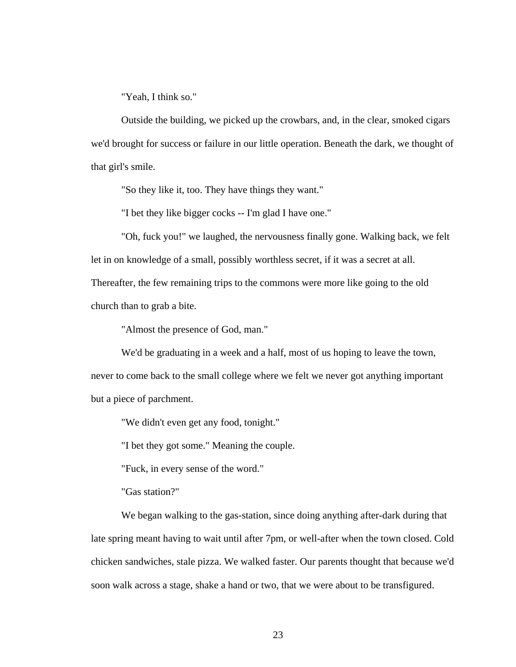"Yeah, I think so."

Outside the building, we picked up the crowbars, and, in the clear, smoked cigars we'd brought for success or failure in our little operation. Beneath the dark, we thought of that girl's smile.

"So they like it, too. They have things they want."

"I bet they like bigger cocks -- I'm glad I have one."

"Oh, fuck you!" we laughed, the nervousness finally gone. Walking back, we felt let in on knowledge of a small, possibly worthless secret, if it was a secret at all. Thereafter, the few remaining trips to the commons were more like going to the old church than to grab a bite.

"Almost the presence of God, man."

We'd be graduating in a week and a half, most of us hoping to leave the town, never to come back to the small college where we felt we never got anything important but a piece of parchment.

"We didn't even get any food, tonight."

"I bet they got some." Meaning the couple.

"Fuck, in every sense of the word."

"Gas station?"

We began walking to the gas-station, since doing anything after-dark during that late spring meant having to wait until after 7pm, or well-after when the town closed. Cold chicken sandwiches, stale pizza. We walked faster. Our parents thought that because we'd soon walk across a stage, shake a hand or two, that we were about to be transfigured.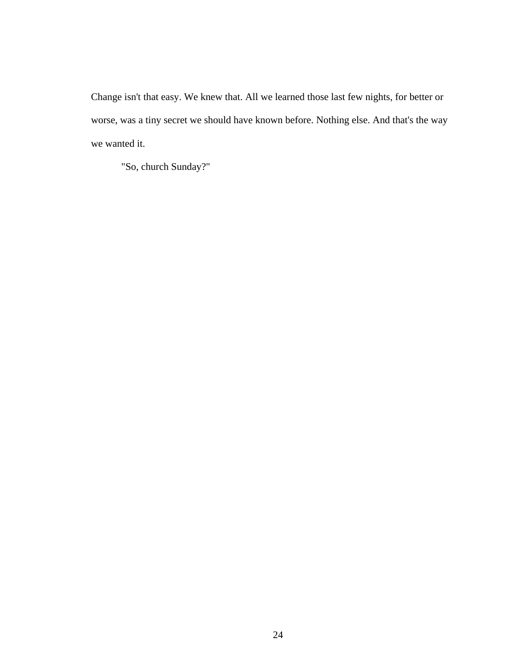Change isn't that easy. We knew that. All we learned those last few nights, for better or worse, was a tiny secret we should have known before. Nothing else. And that's the way we wanted it.

"So, church Sunday?"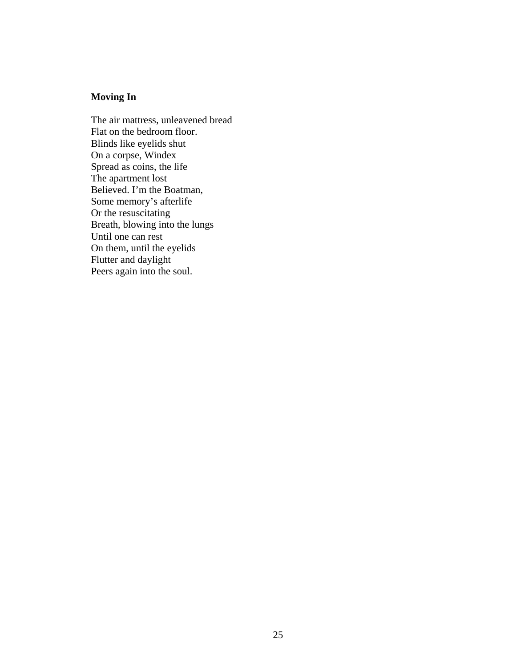## **Moving In**

The air mattress, unleavened bread Flat on the bedroom floor. Blinds like eyelids shut On a corpse, Windex Spread as coins, the life The apartment lost Believed. I'm the Boatman, Some memory's afterlife Or the resuscitating Breath, blowing into the lungs Until one can rest On them, until the eyelids Flutter and daylight Peers again into the soul.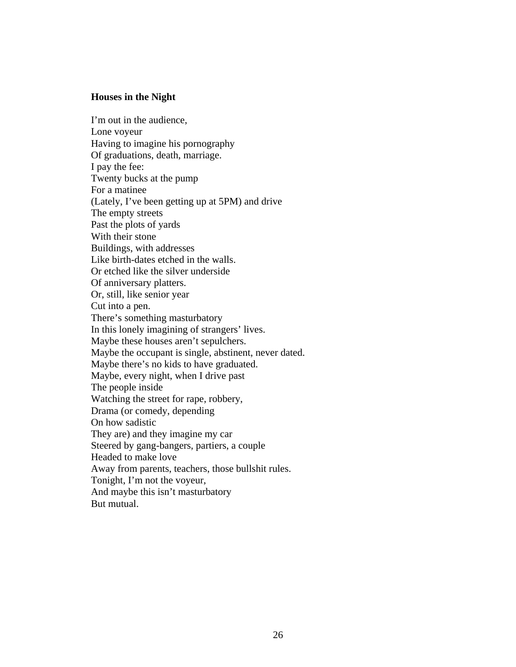### **Houses in the Night**

I'm out in the audience, Lone voyeur Having to imagine his pornography Of graduations, death, marriage. I pay the fee: Twenty bucks at the pump For a matinee (Lately, I've been getting up at 5PM) and drive The empty streets Past the plots of yards With their stone Buildings, with addresses Like birth-dates etched in the walls. Or etched like the silver underside Of anniversary platters. Or, still, like senior year Cut into a pen. There's something masturbatory In this lonely imagining of strangers' lives. Maybe these houses aren't sepulchers. Maybe the occupant is single, abstinent, never dated. Maybe there's no kids to have graduated. Maybe, every night, when I drive past The people inside Watching the street for rape, robbery, Drama (or comedy, depending On how sadistic They are) and they imagine my car Steered by gang-bangers, partiers, a couple Headed to make love Away from parents, teachers, those bullshit rules. Tonight, I'm not the voyeur, And maybe this isn't masturbatory

But mutual.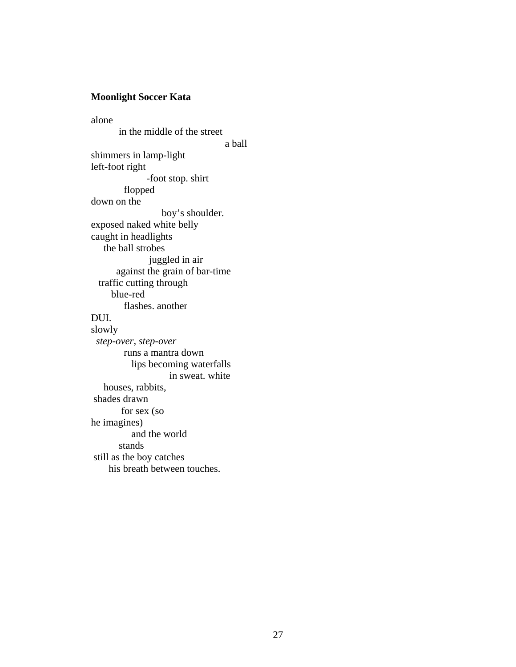### **Moonlight Soccer Kata**

alone in the middle of the street a ball shimmers in lamp-light left-foot right -foot stop. shirt flopped down on the boy's shoulder. exposed naked white belly caught in headlights the ball strobes juggled in air against the grain of bar-time traffic cutting through blue-red flashes. another DUI. slowly *step-over, step-over* runs a mantra down lips becoming waterfalls in sweat. white houses, rabbits, shades drawn for sex (so he imagines) and the world stands still as the boy catches his breath between touches.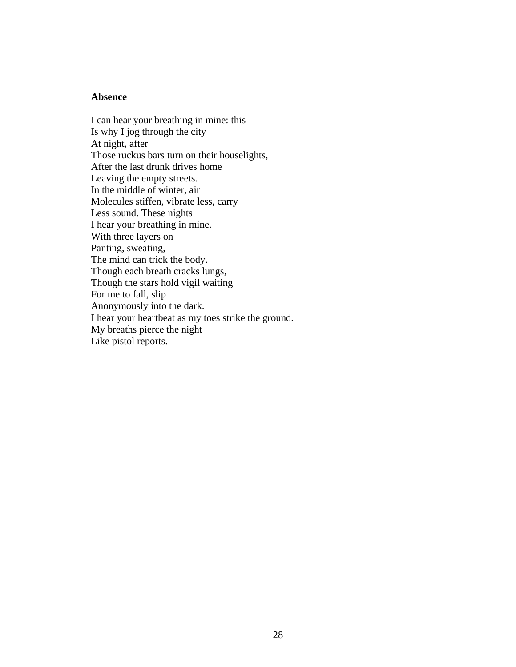#### **Absence**

I can hear your breathing in mine: this Is why I jog through the city At night, after Those ruckus bars turn on their houselights, After the last drunk drives home Leaving the empty streets. In the middle of winter, air Molecules stiffen, vibrate less, carry Less sound. These nights I hear your breathing in mine. With three layers on Panting, sweating, The mind can trick the body. Though each breath cracks lungs, Though the stars hold vigil waiting For me to fall, slip Anonymously into the dark. I hear your heartbeat as my toes strike the ground. My breaths pierce the night Like pistol reports.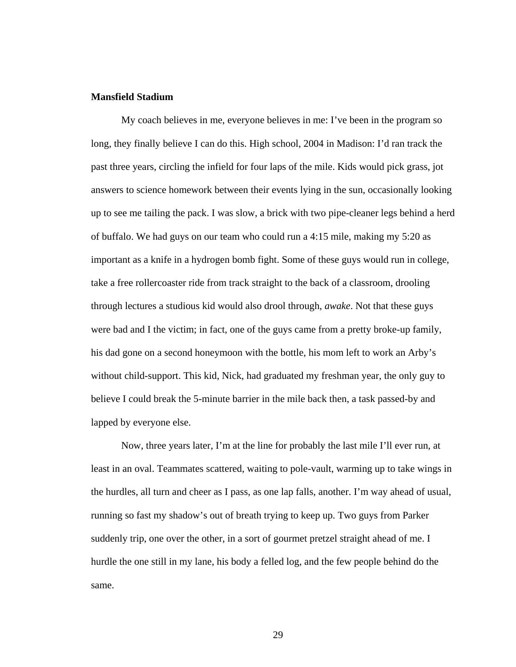### **Mansfield Stadium**

My coach believes in me, everyone believes in me: I've been in the program so long, they finally believe I can do this. High school, 2004 in Madison: I'd ran track the past three years, circling the infield for four laps of the mile. Kids would pick grass, jot answers to science homework between their events lying in the sun, occasionally looking up to see me tailing the pack. I was slow, a brick with two pipe-cleaner legs behind a herd of buffalo. We had guys on our team who could run a 4:15 mile, making my 5:20 as important as a knife in a hydrogen bomb fight. Some of these guys would run in college, take a free rollercoaster ride from track straight to the back of a classroom, drooling through lectures a studious kid would also drool through, *awake*. Not that these guys were bad and I the victim; in fact, one of the guys came from a pretty broke-up family, his dad gone on a second honeymoon with the bottle, his mom left to work an Arby's without child-support. This kid, Nick, had graduated my freshman year, the only guy to believe I could break the 5-minute barrier in the mile back then, a task passed-by and lapped by everyone else.

Now, three years later, I'm at the line for probably the last mile I'll ever run, at least in an oval. Teammates scattered, waiting to pole-vault, warming up to take wings in the hurdles, all turn and cheer as I pass, as one lap falls, another. I'm way ahead of usual, running so fast my shadow's out of breath trying to keep up. Two guys from Parker suddenly trip, one over the other, in a sort of gourmet pretzel straight ahead of me. I hurdle the one still in my lane, his body a felled log, and the few people behind do the same.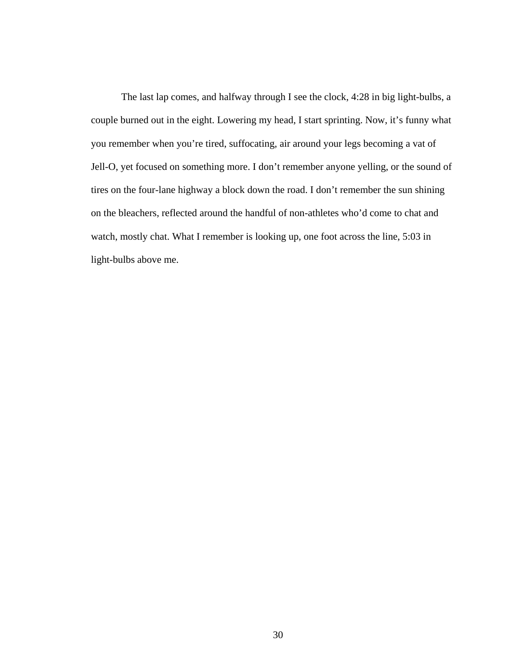The last lap comes, and halfway through I see the clock, 4:28 in big light-bulbs, a couple burned out in the eight. Lowering my head, I start sprinting. Now, it's funny what you remember when you're tired, suffocating, air around your legs becoming a vat of Jell-O, yet focused on something more. I don't remember anyone yelling, or the sound of tires on the four-lane highway a block down the road. I don't remember the sun shining on the bleachers, reflected around the handful of non-athletes who'd come to chat and watch, mostly chat. What I remember is looking up, one foot across the line, 5:03 in light-bulbs above me.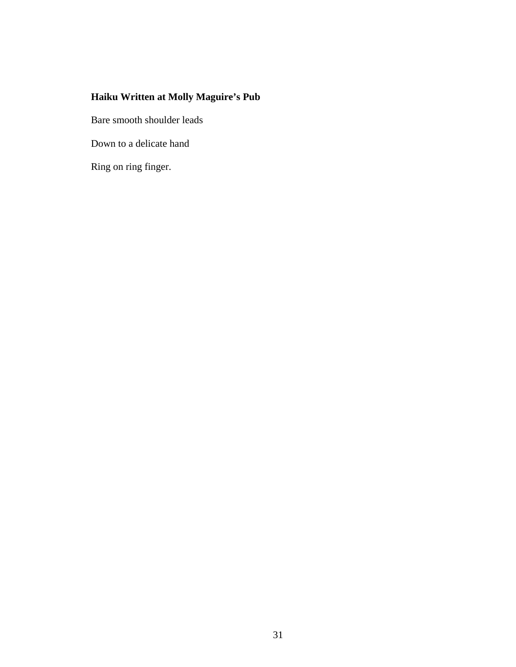## **Haiku Written at Molly Maguire's Pub**

Bare smooth shoulder leads

Down to a delicate hand

Ring on ring finger.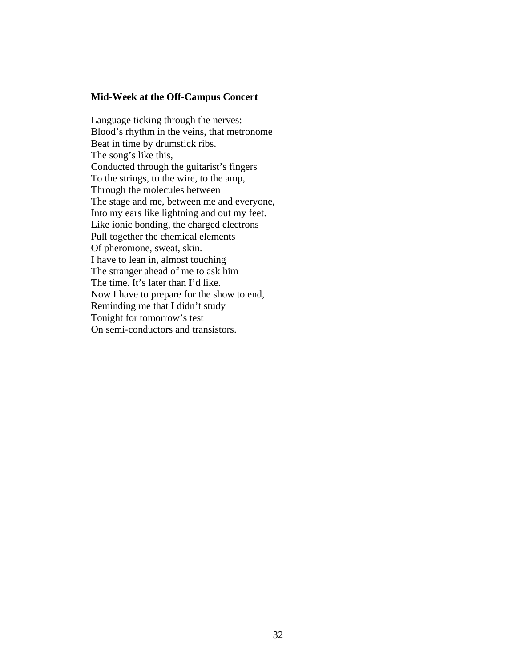### **Mid-Week at the Off-Campus Concert**

Language ticking through the nerves: Blood's rhythm in the veins, that metronome Beat in time by drumstick ribs. The song's like this, Conducted through the guitarist's fingers To the strings, to the wire, to the amp, Through the molecules between The stage and me, between me and everyone, Into my ears like lightning and out my feet. Like ionic bonding, the charged electrons Pull together the chemical elements Of pheromone, sweat, skin. I have to lean in, almost touching The stranger ahead of me to ask him The time. It's later than I'd like. Now I have to prepare for the show to end, Reminding me that I didn't study Tonight for tomorrow's test On semi-conductors and transistors.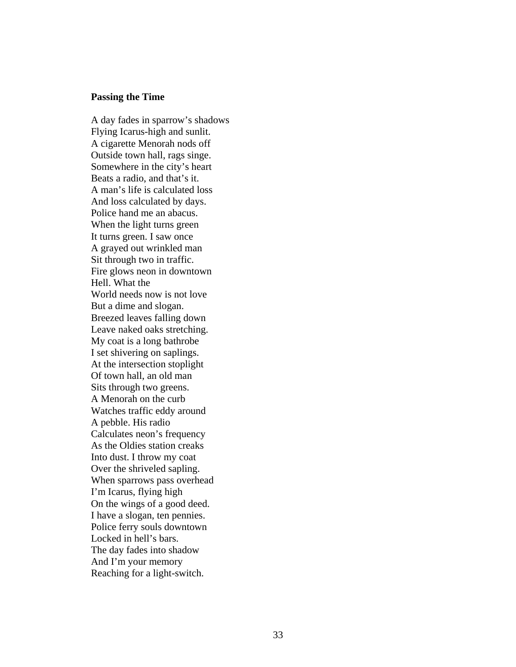#### **Passing the Time**

A day fades in sparrow's shadows Flying Icarus-high and sunlit. A cigarette Menorah nods off Outside town hall, rags singe. Somewhere in the city's heart Beats a radio, and that's it. A man's life is calculated loss And loss calculated by days. Police hand me an abacus. When the light turns green It turns green. I saw once A grayed out wrinkled man Sit through two in traffic. Fire glows neon in downtown Hell. What the World needs now is not love But a dime and slogan. Breezed leaves falling down Leave naked oaks stretching. My coat is a long bathrobe I set shivering on saplings. At the intersection stoplight Of town hall, an old man Sits through two greens. A Menorah on the curb Watches traffic eddy around A pebble. His radio Calculates neon's frequency As the Oldies station creaks Into dust. I throw my coat Over the shriveled sapling. When sparrows pass overhead I'm Icarus, flying high On the wings of a good deed. I have a slogan, ten pennies. Police ferry souls downtown Locked in hell's bars. The day fades into shadow And I'm your memory Reaching for a light-switch.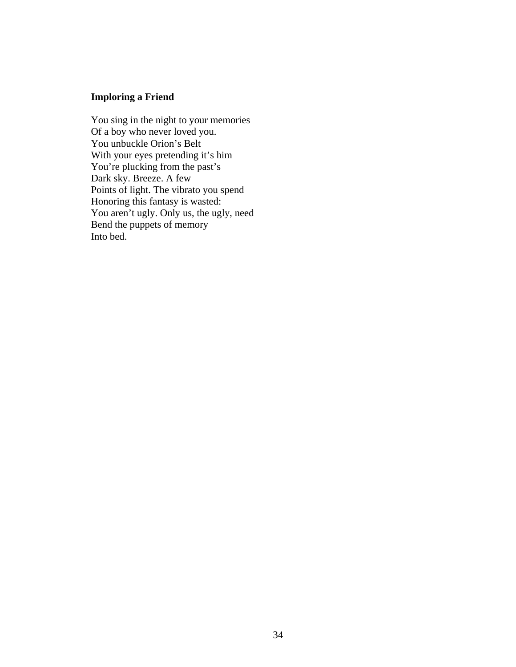# **Imploring a Friend**

You sing in the night to your memories Of a boy who never loved you. You unbuckle Orion's Belt With your eyes pretending it's him You're plucking from the past's Dark sky. Breeze. A few Points of light. The vibrato you spend Honoring this fantasy is wasted: You aren't ugly. Only us, the ugly, need Bend the puppets of memory Into bed.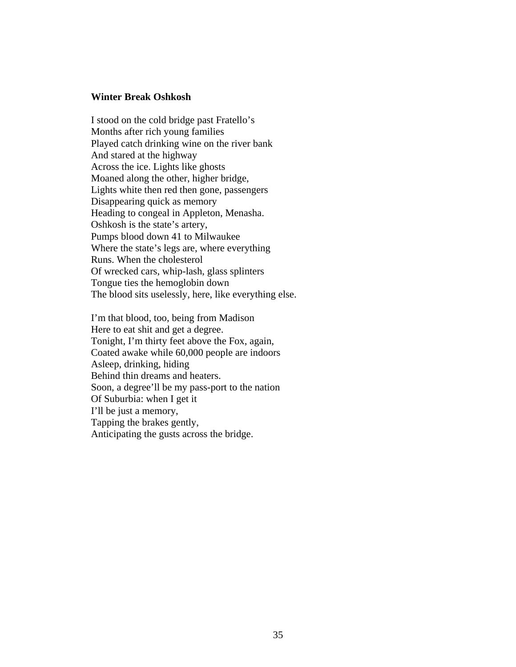# **Winter Break Oshkosh**

I stood on the cold bridge past Fratello's Months after rich young families Played catch drinking wine on the river bank And stared at the highway Across the ice. Lights like ghosts Moaned along the other, higher bridge, Lights white then red then gone, passengers Disappearing quick as memory Heading to congeal in Appleton, Menasha. Oshkosh is the state's artery, Pumps blood down 41 to Milwaukee Where the state's legs are, where everything Runs. When the cholesterol Of wrecked cars, whip-lash, glass splinters Tongue ties the hemoglobin down The blood sits uselessly, here, like everything else.

I'm that blood, too, being from Madison Here to eat shit and get a degree. Tonight, I'm thirty feet above the Fox, again, Coated awake while 60,000 people are indoors Asleep, drinking, hiding Behind thin dreams and heaters. Soon, a degree'll be my pass-port to the nation Of Suburbia: when I get it I'll be just a memory, Tapping the brakes gently, Anticipating the gusts across the bridge.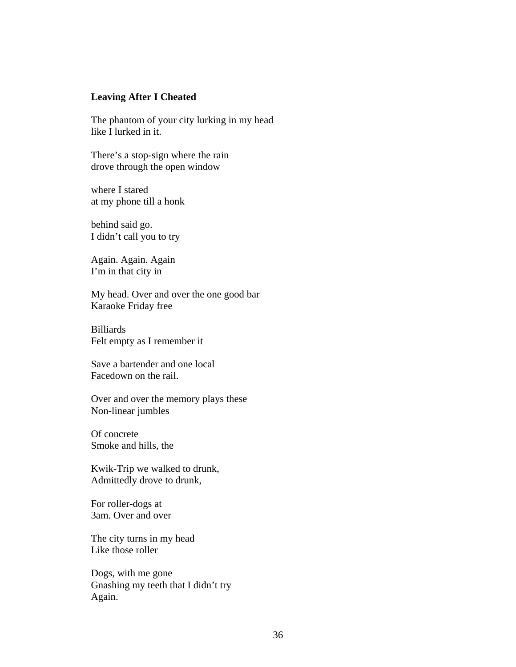# **Leaving After I Cheated**

The phantom of your city lurking in my head like I lurked in it.

There's a stop-sign where the rain drove through the open window

where I stared at my phone till a honk

behind said go. I didn't call you to try

Again. Again. Again I'm in that city in

My head. Over and over the one good bar Karaoke Friday free

Billiards Felt empty as I remember it

Save a bartender and one local Facedown on the rail.

Over and over the memory plays these Non-linear jumbles

Of concrete Smoke and hills, the

Kwik-Trip we walked to drunk, Admittedly drove to drunk,

For roller-dogs at 3am. Over and over

The city turns in my head Like those roller

Dogs, with me gone Gnashing my teeth that I didn't try Again.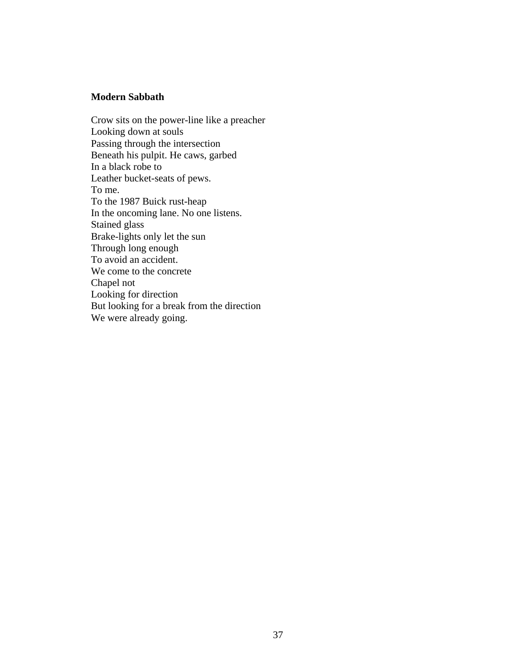## **Modern Sabbath**

Crow sits on the power-line like a preacher Looking down at souls Passing through the intersection Beneath his pulpit. He caws, garbed In a black robe to Leather bucket-seats of pews. To me. To the 1987 Buick rust-heap In the oncoming lane. No one listens. Stained glass Brake-lights only let the sun Through long enough To avoid an accident. We come to the concrete Chapel not Looking for direction But looking for a break from the direction We were already going.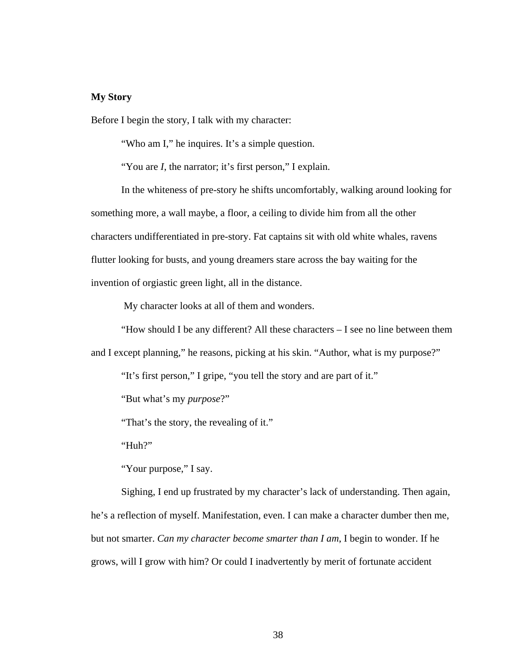# **My Story**

Before I begin the story, I talk with my character:

"Who am I," he inquires. It's a simple question.

"You are *I*, the narrator; it's first person," I explain.

In the whiteness of pre-story he shifts uncomfortably, walking around looking for something more, a wall maybe, a floor, a ceiling to divide him from all the other characters undifferentiated in pre-story. Fat captains sit with old white whales, ravens flutter looking for busts, and young dreamers stare across the bay waiting for the invention of orgiastic green light, all in the distance.

My character looks at all of them and wonders.

"How should I be any different? All these characters – I see no line between them and I except planning," he reasons, picking at his skin. "Author, what is my purpose?"

"It's first person," I gripe, "you tell the story and are part of it."

"But what's my *purpose*?"

"That's the story, the revealing of it."

"Huh?"

"Your purpose," I say.

Sighing, I end up frustrated by my character's lack of understanding. Then again, he's a reflection of myself. Manifestation, even. I can make a character dumber then me, but not smarter. *Can my character become smarter than I am*, I begin to wonder. If he grows, will I grow with him? Or could I inadvertently by merit of fortunate accident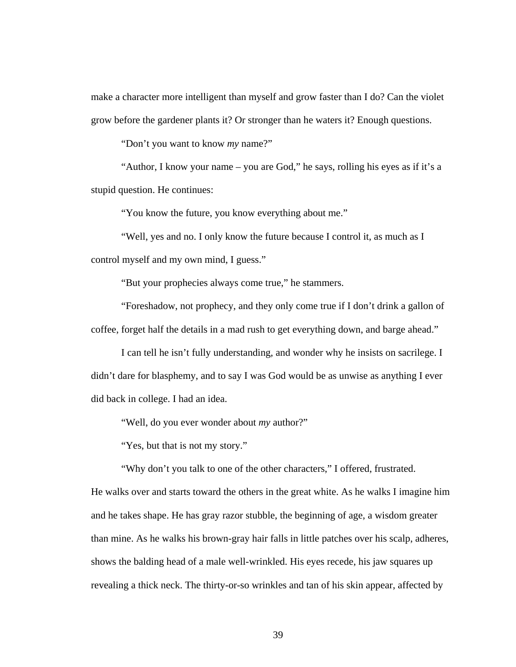make a character more intelligent than myself and grow faster than I do? Can the violet grow before the gardener plants it? Or stronger than he waters it? Enough questions.

"Don't you want to know *my* name?"

"Author, I know your name – you are God," he says, rolling his eyes as if it's a stupid question. He continues:

"You know the future, you know everything about me."

"Well, yes and no. I only know the future because I control it, as much as I control myself and my own mind, I guess."

"But your prophecies always come true," he stammers.

"Foreshadow, not prophecy, and they only come true if I don't drink a gallon of coffee, forget half the details in a mad rush to get everything down, and barge ahead."

I can tell he isn't fully understanding, and wonder why he insists on sacrilege. I didn't dare for blasphemy, and to say I was God would be as unwise as anything I ever did back in college. I had an idea.

"Well, do you ever wonder about *my* author?"

"Yes, but that is not my story."

"Why don't you talk to one of the other characters," I offered, frustrated.

He walks over and starts toward the others in the great white. As he walks I imagine him and he takes shape. He has gray razor stubble, the beginning of age, a wisdom greater than mine. As he walks his brown-gray hair falls in little patches over his scalp, adheres, shows the balding head of a male well-wrinkled. His eyes recede, his jaw squares up revealing a thick neck. The thirty-or-so wrinkles and tan of his skin appear, affected by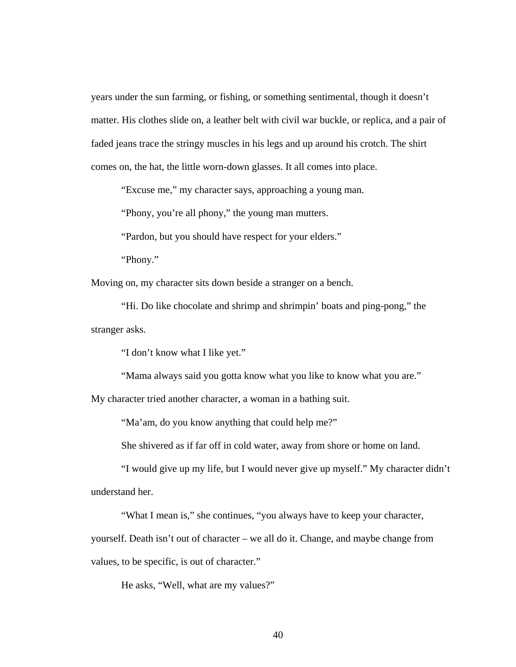years under the sun farming, or fishing, or something sentimental, though it doesn't matter. His clothes slide on, a leather belt with civil war buckle, or replica, and a pair of faded jeans trace the stringy muscles in his legs and up around his crotch. The shirt comes on, the hat, the little worn-down glasses. It all comes into place.

"Excuse me," my character says, approaching a young man.

"Phony, you're all phony," the young man mutters.

"Pardon, but you should have respect for your elders."

"Phony."

Moving on, my character sits down beside a stranger on a bench.

"Hi. Do like chocolate and shrimp and shrimpin' boats and ping-pong," the stranger asks.

"I don't know what I like yet."

"Mama always said you gotta know what you like to know what you are."

My character tried another character, a woman in a bathing suit.

"Ma'am, do you know anything that could help me?"

She shivered as if far off in cold water, away from shore or home on land.

"I would give up my life, but I would never give up myself." My character didn't understand her.

"What I mean is," she continues, "you always have to keep your character,

yourself. Death isn't out of character – we all do it. Change, and maybe change from

values, to be specific, is out of character."

He asks, "Well, what are my values?"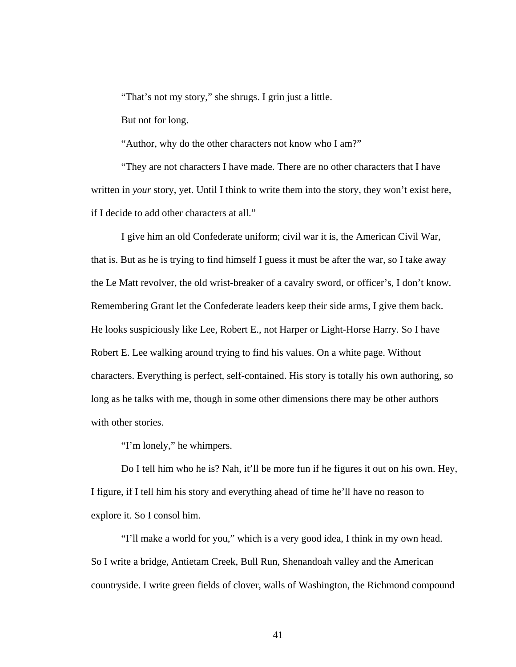"That's not my story," she shrugs. I grin just a little.

But not for long.

"Author, why do the other characters not know who I am?"

"They are not characters I have made. There are no other characters that I have written in *your* story, yet. Until I think to write them into the story, they won't exist here, if I decide to add other characters at all."

I give him an old Confederate uniform; civil war it is, the American Civil War, that is. But as he is trying to find himself I guess it must be after the war, so I take away the Le Matt revolver, the old wrist-breaker of a cavalry sword, or officer's, I don't know. Remembering Grant let the Confederate leaders keep their side arms, I give them back. He looks suspiciously like Lee, Robert E., not Harper or Light-Horse Harry. So I have Robert E. Lee walking around trying to find his values. On a white page. Without characters. Everything is perfect, self-contained. His story is totally his own authoring, so long as he talks with me, though in some other dimensions there may be other authors with other stories.

"I'm lonely," he whimpers.

Do I tell him who he is? Nah, it'll be more fun if he figures it out on his own. Hey, I figure, if I tell him his story and everything ahead of time he'll have no reason to explore it. So I consol him.

"I'll make a world for you," which is a very good idea, I think in my own head. So I write a bridge, Antietam Creek, Bull Run, Shenandoah valley and the American countryside. I write green fields of clover, walls of Washington, the Richmond compound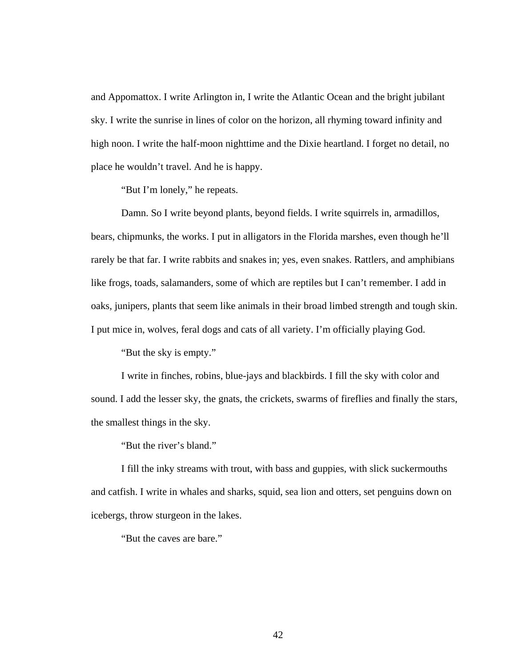and Appomattox. I write Arlington in, I write the Atlantic Ocean and the bright jubilant sky. I write the sunrise in lines of color on the horizon, all rhyming toward infinity and high noon. I write the half-moon nighttime and the Dixie heartland. I forget no detail, no place he wouldn't travel. And he is happy.

"But I'm lonely," he repeats.

Damn. So I write beyond plants, beyond fields. I write squirrels in, armadillos, bears, chipmunks, the works. I put in alligators in the Florida marshes, even though he'll rarely be that far. I write rabbits and snakes in; yes, even snakes. Rattlers, and amphibians like frogs, toads, salamanders, some of which are reptiles but I can't remember. I add in oaks, junipers, plants that seem like animals in their broad limbed strength and tough skin. I put mice in, wolves, feral dogs and cats of all variety. I'm officially playing God.

"But the sky is empty."

I write in finches, robins, blue-jays and blackbirds. I fill the sky with color and sound. I add the lesser sky, the gnats, the crickets, swarms of fireflies and finally the stars, the smallest things in the sky.

"But the river's bland."

I fill the inky streams with trout, with bass and guppies, with slick suckermouths and catfish. I write in whales and sharks, squid, sea lion and otters, set penguins down on icebergs, throw sturgeon in the lakes.

"But the caves are bare."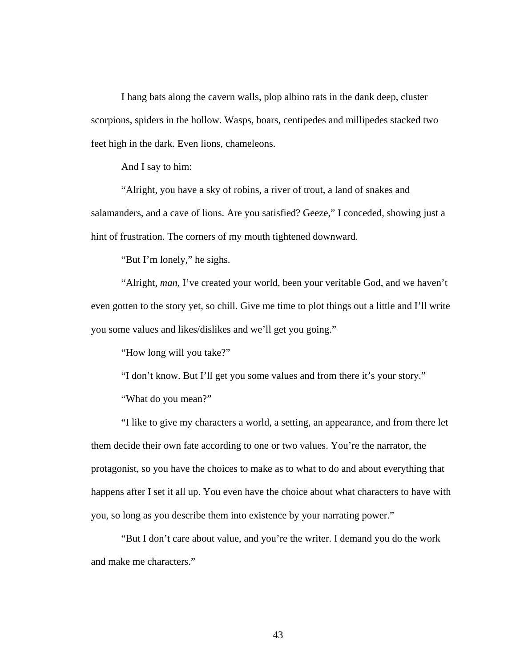I hang bats along the cavern walls, plop albino rats in the dank deep, cluster scorpions, spiders in the hollow. Wasps, boars, centipedes and millipedes stacked two feet high in the dark. Even lions, chameleons.

And I say to him:

"Alright, you have a sky of robins, a river of trout, a land of snakes and salamanders, and a cave of lions. Are you satisfied? Geeze," I conceded, showing just a hint of frustration. The corners of my mouth tightened downward.

"But I'm lonely," he sighs.

"Alright, *man*, I've created your world, been your veritable God, and we haven't even gotten to the story yet, so chill. Give me time to plot things out a little and I'll write you some values and likes/dislikes and we'll get you going."

"How long will you take?"

"I don't know. But I'll get you some values and from there it's your story."

"What do you mean?"

"I like to give my characters a world, a setting, an appearance, and from there let them decide their own fate according to one or two values. You're the narrator, the protagonist, so you have the choices to make as to what to do and about everything that happens after I set it all up. You even have the choice about what characters to have with you, so long as you describe them into existence by your narrating power."

"But I don't care about value, and you're the writer. I demand you do the work and make me characters."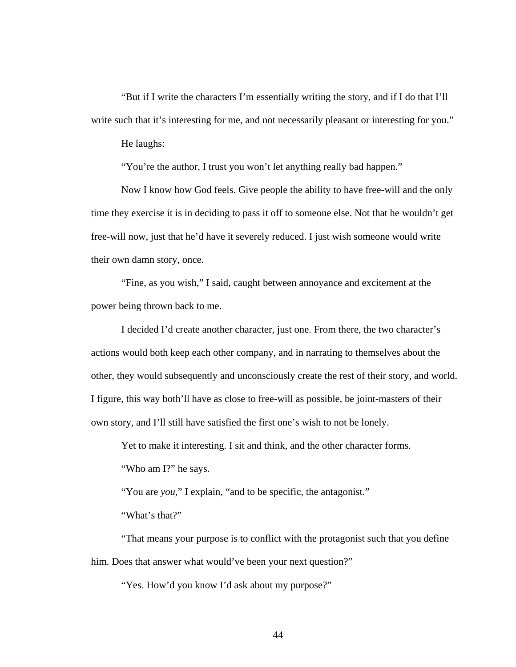"But if I write the characters I'm essentially writing the story, and if I do that I'll write such that it's interesting for me, and not necessarily pleasant or interesting for you."

He laughs:

"You're the author, I trust you won't let anything really bad happen."

Now I know how God feels. Give people the ability to have free-will and the only time they exercise it is in deciding to pass it off to someone else. Not that he wouldn't get free-will now, just that he'd have it severely reduced. I just wish someone would write their own damn story, once.

"Fine, as you wish," I said, caught between annoyance and excitement at the power being thrown back to me.

I decided I'd create another character, just one. From there, the two character's actions would both keep each other company, and in narrating to themselves about the other, they would subsequently and unconsciously create the rest of their story, and world. I figure, this way both'll have as close to free-will as possible, be joint-masters of their own story, and I'll still have satisfied the first one's wish to not be lonely.

Yet to make it interesting. I sit and think, and the other character forms.

"Who am I?" he says.

"You are *you*," I explain, "and to be specific, the antagonist."

"What's that?"

"That means your purpose is to conflict with the protagonist such that you define him. Does that answer what would've been your next question?"

"Yes. How'd you know I'd ask about my purpose?"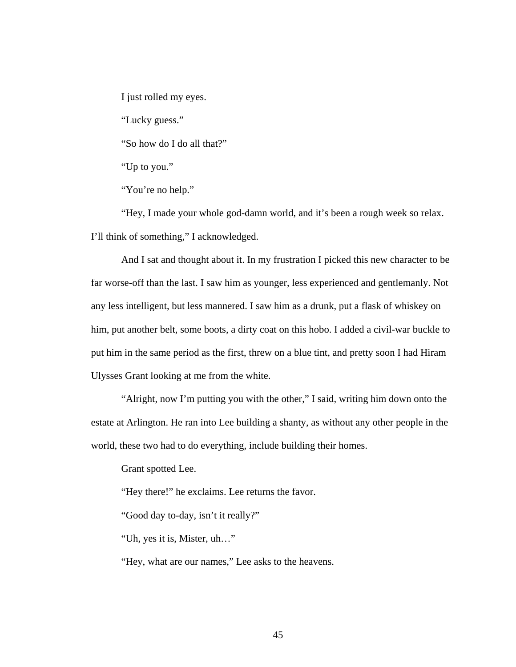I just rolled my eyes.

"Lucky guess."

"So how do I do all that?"

"Up to you."

"You're no help."

"Hey, I made your whole god-damn world, and it's been a rough week so relax. I'll think of something," I acknowledged.

And I sat and thought about it. In my frustration I picked this new character to be far worse-off than the last. I saw him as younger, less experienced and gentlemanly. Not any less intelligent, but less mannered. I saw him as a drunk, put a flask of whiskey on him, put another belt, some boots, a dirty coat on this hobo. I added a civil-war buckle to put him in the same period as the first, threw on a blue tint, and pretty soon I had Hiram Ulysses Grant looking at me from the white.

"Alright, now I'm putting you with the other," I said, writing him down onto the estate at Arlington. He ran into Lee building a shanty, as without any other people in the world, these two had to do everything, include building their homes.

Grant spotted Lee.

"Hey there!" he exclaims. Lee returns the favor.

"Good day to-day, isn't it really?"

"Uh, yes it is, Mister, uh…"

"Hey, what are our names," Lee asks to the heavens.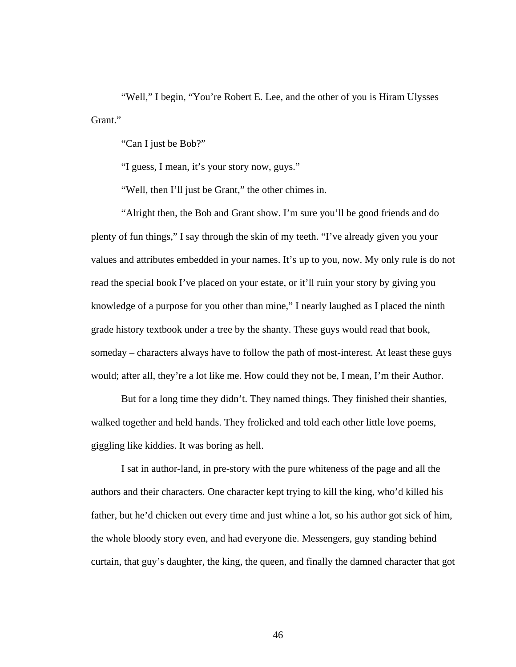"Well," I begin, "You're Robert E. Lee, and the other of you is Hiram Ulysses Grant."

"Can I just be Bob?"

"I guess, I mean, it's your story now, guys."

"Well, then I'll just be Grant," the other chimes in.

"Alright then, the Bob and Grant show. I'm sure you'll be good friends and do plenty of fun things," I say through the skin of my teeth. "I've already given you your values and attributes embedded in your names. It's up to you, now. My only rule is do not read the special book I've placed on your estate, or it'll ruin your story by giving you knowledge of a purpose for you other than mine," I nearly laughed as I placed the ninth grade history textbook under a tree by the shanty. These guys would read that book, someday – characters always have to follow the path of most-interest. At least these guys would; after all, they're a lot like me. How could they not be, I mean, I'm their Author.

But for a long time they didn't. They named things. They finished their shanties, walked together and held hands. They frolicked and told each other little love poems, giggling like kiddies. It was boring as hell.

I sat in author-land, in pre-story with the pure whiteness of the page and all the authors and their characters. One character kept trying to kill the king, who'd killed his father, but he'd chicken out every time and just whine a lot, so his author got sick of him, the whole bloody story even, and had everyone die. Messengers, guy standing behind curtain, that guy's daughter, the king, the queen, and finally the damned character that got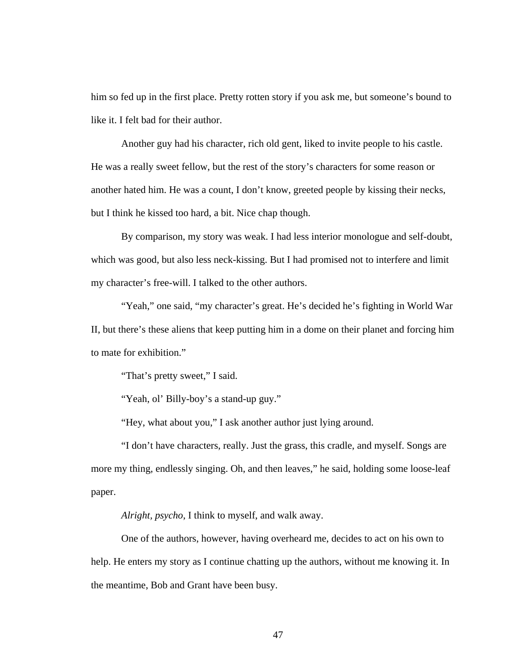him so fed up in the first place. Pretty rotten story if you ask me, but someone's bound to like it. I felt bad for their author.

Another guy had his character, rich old gent, liked to invite people to his castle. He was a really sweet fellow, but the rest of the story's characters for some reason or another hated him. He was a count, I don't know, greeted people by kissing their necks, but I think he kissed too hard, a bit. Nice chap though.

By comparison, my story was weak. I had less interior monologue and self-doubt, which was good, but also less neck-kissing. But I had promised not to interfere and limit my character's free-will. I talked to the other authors.

"Yeah," one said, "my character's great. He's decided he's fighting in World War II, but there's these aliens that keep putting him in a dome on their planet and forcing him to mate for exhibition."

"That's pretty sweet," I said.

"Yeah, ol' Billy-boy's a stand-up guy."

"Hey, what about you," I ask another author just lying around.

"I don't have characters, really. Just the grass, this cradle, and myself. Songs are more my thing, endlessly singing. Oh, and then leaves," he said, holding some loose-leaf paper.

*Alright, psycho*, I think to myself, and walk away.

One of the authors, however, having overheard me, decides to act on his own to help. He enters my story as I continue chatting up the authors, without me knowing it. In the meantime, Bob and Grant have been busy.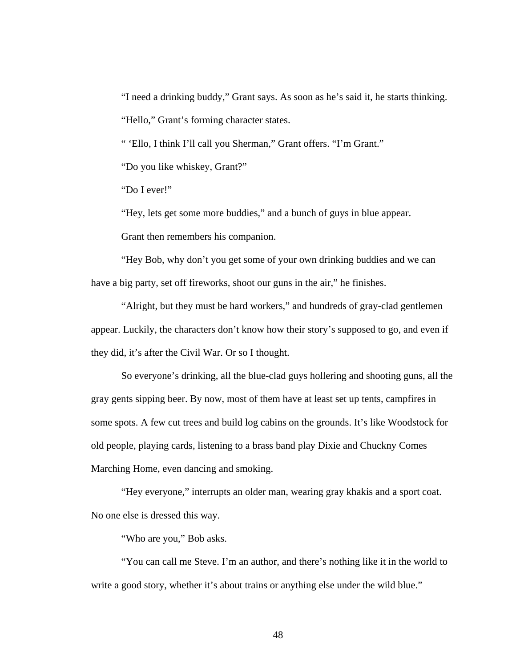"I need a drinking buddy," Grant says. As soon as he's said it, he starts thinking. "Hello," Grant's forming character states.

" 'Ello, I think I'll call you Sherman," Grant offers. "I'm Grant."

"Do you like whiskey, Grant?"

"Do I ever!"

"Hey, lets get some more buddies," and a bunch of guys in blue appear.

Grant then remembers his companion.

"Hey Bob, why don't you get some of your own drinking buddies and we can have a big party, set off fireworks, shoot our guns in the air," he finishes.

"Alright, but they must be hard workers," and hundreds of gray-clad gentlemen appear. Luckily, the characters don't know how their story's supposed to go, and even if they did, it's after the Civil War. Or so I thought.

So everyone's drinking, all the blue-clad guys hollering and shooting guns, all the gray gents sipping beer. By now, most of them have at least set up tents, campfires in some spots. A few cut trees and build log cabins on the grounds. It's like Woodstock for old people, playing cards, listening to a brass band play Dixie and Chuckny Comes Marching Home, even dancing and smoking.

"Hey everyone," interrupts an older man, wearing gray khakis and a sport coat. No one else is dressed this way.

"Who are you," Bob asks.

"You can call me Steve. I'm an author, and there's nothing like it in the world to write a good story, whether it's about trains or anything else under the wild blue."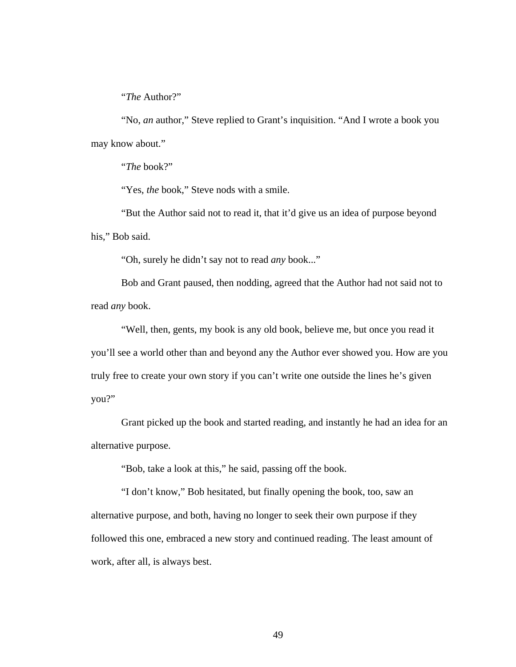"*The* Author?"

"No, *an* author," Steve replied to Grant's inquisition. "And I wrote a book you may know about."

"*The* book?"

"Yes, the book," Steve nods with a smile.

"But the Author said not to read it, that it'd give us an idea of purpose beyond his," Bob said.

"Oh, surely he didn't say not to read *any* book..."

Bob and Grant paused, then nodding, agreed that the Author had not said not to read *any* book.

"Well, then, gents, my book is any old book, believe me, but once you read it you'll see a world other than and beyond any the Author ever showed you. How are you truly free to create your own story if you can't write one outside the lines he's given you?"

Grant picked up the book and started reading, and instantly he had an idea for an alternative purpose.

"Bob, take a look at this," he said, passing off the book.

"I don't know," Bob hesitated, but finally opening the book, too, saw an alternative purpose, and both, having no longer to seek their own purpose if they followed this one, embraced a new story and continued reading. The least amount of work, after all, is always best.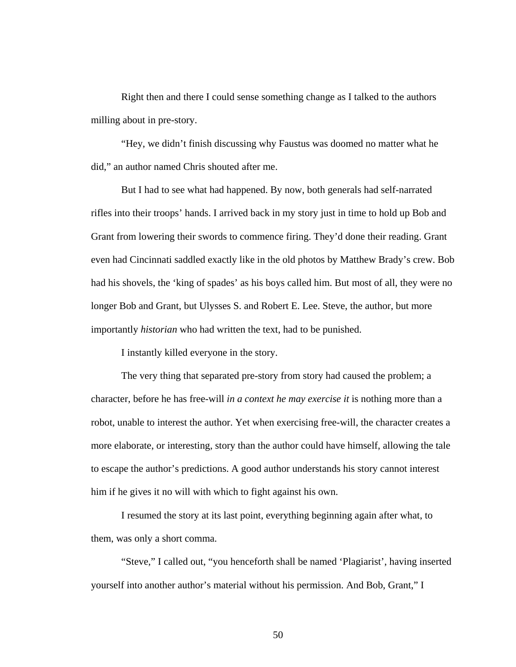Right then and there I could sense something change as I talked to the authors milling about in pre-story.

"Hey, we didn't finish discussing why Faustus was doomed no matter what he did," an author named Chris shouted after me.

But I had to see what had happened. By now, both generals had self-narrated rifles into their troops' hands. I arrived back in my story just in time to hold up Bob and Grant from lowering their swords to commence firing. They'd done their reading. Grant even had Cincinnati saddled exactly like in the old photos by Matthew Brady's crew. Bob had his shovels, the 'king of spades' as his boys called him. But most of all, they were no longer Bob and Grant, but Ulysses S. and Robert E. Lee. Steve, the author, but more importantly *historian* who had written the text, had to be punished.

I instantly killed everyone in the story.

The very thing that separated pre-story from story had caused the problem; a character, before he has free-will *in a context he may exercise it* is nothing more than a robot, unable to interest the author. Yet when exercising free-will, the character creates a more elaborate, or interesting, story than the author could have himself, allowing the tale to escape the author's predictions. A good author understands his story cannot interest him if he gives it no will with which to fight against his own.

I resumed the story at its last point, everything beginning again after what, to them, was only a short comma.

"Steve," I called out, "you henceforth shall be named 'Plagiarist', having inserted yourself into another author's material without his permission. And Bob, Grant," I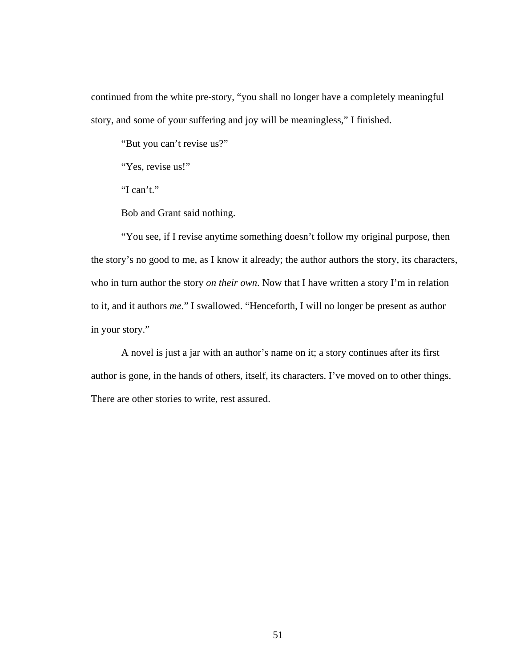continued from the white pre-story, "you shall no longer have a completely meaningful story, and some of your suffering and joy will be meaningless," I finished.

"But you can't revise us?"

"Yes, revise us!"

"I can't."

Bob and Grant said nothing.

"You see, if I revise anytime something doesn't follow my original purpose, then the story's no good to me, as I know it already; the author authors the story, its characters, who in turn author the story *on their own*. Now that I have written a story I'm in relation to it, and it authors *me*." I swallowed. "Henceforth, I will no longer be present as author in your story."

A novel is just a jar with an author's name on it; a story continues after its first author is gone, in the hands of others, itself, its characters. I've moved on to other things. There are other stories to write, rest assured.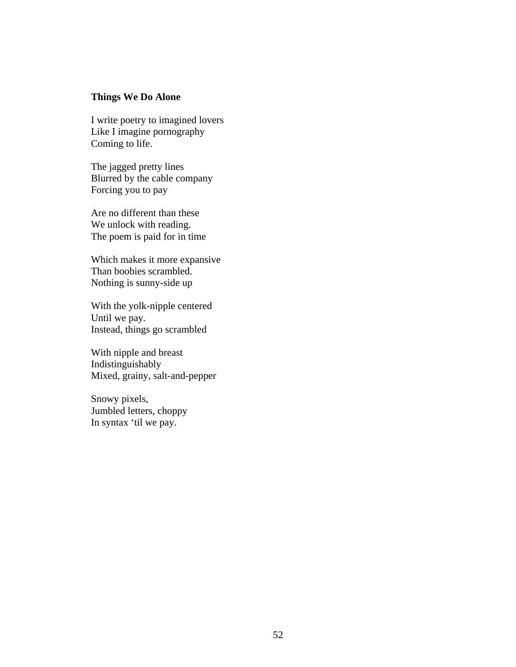# **Things We Do Alone**

I write poetry to imagined lovers Like I imagine pornography Coming to life.

The jagged pretty lines Blurred by the cable company Forcing you to pay

Are no different than these We unlock with reading. The poem is paid for in time

Which makes it more expansive Than boobies scrambled. Nothing is sunny-side up

With the yolk-nipple centered Until we pay. Instead, things go scrambled

With nipple and breast Indistinguishably Mixed, grainy, salt-and-pepper

Snowy pixels, Jumbled letters, choppy In syntax 'til we pay.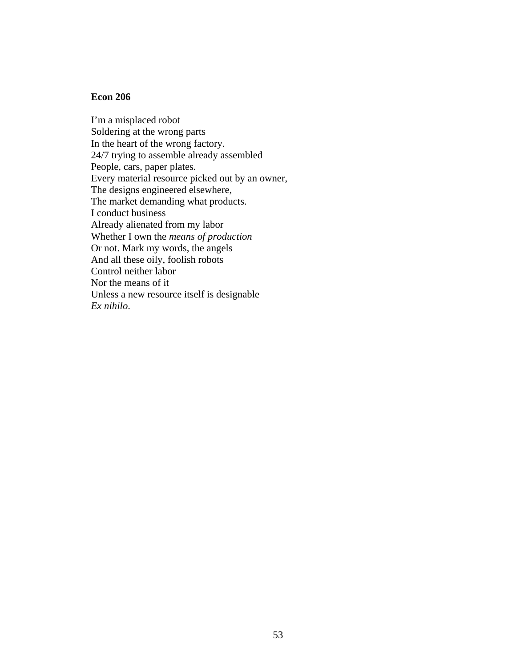### **Econ 206**

I'm a misplaced robot Soldering at the wrong parts In the heart of the wrong factory. 24/7 trying to assemble already assembled People, cars, paper plates. Every material resource picked out by an owner, The designs engineered elsewhere, The market demanding what products. I conduct business Already alienated from my labor Whether I own the *means of production* Or not. Mark my words, the angels And all these oily, foolish robots Control neither labor Nor the means of it Unless a new resource itself is designable *Ex nihilo*.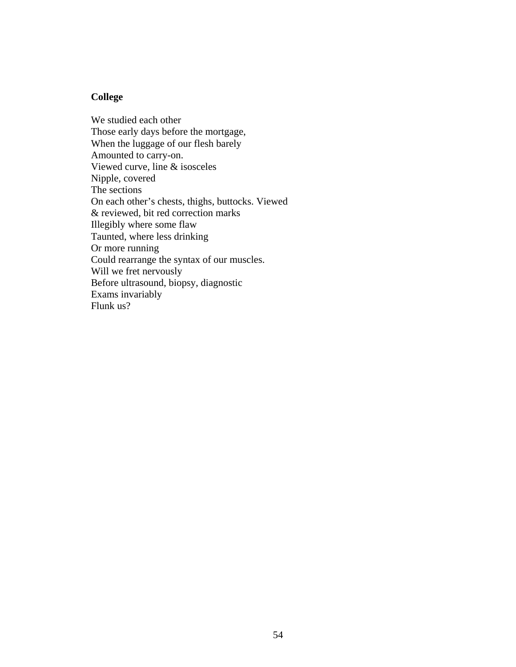## **College**

We studied each other Those early days before the mortgage, When the luggage of our flesh barely Amounted to carry-on. Viewed curve, line & isosceles Nipple, covered The sections On each other's chests, thighs, buttocks. Viewed & reviewed, bit red correction marks Illegibly where some flaw Taunted, where less drinking Or more running Could rearrange the syntax of our muscles. Will we fret nervously Before ultrasound, biopsy, diagnostic Exams invariably Flunk us?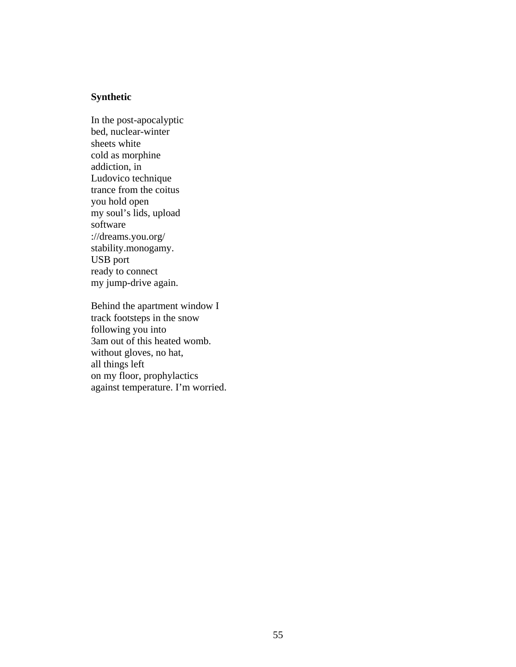# **Synthetic**

In the post-apocalyptic bed, nuclear-winter sheets white cold as morphine addiction, in Ludovico technique trance from the coitus you hold open my soul's lids, upload software ://dreams.you.org/ stability.monogamy. USB port ready to connect my jump-drive again.

Behind the apartment window I track footsteps in the snow following you into 3am out of this heated womb. without gloves, no hat, all things left on my floor, prophylactics against temperature. I'm worried.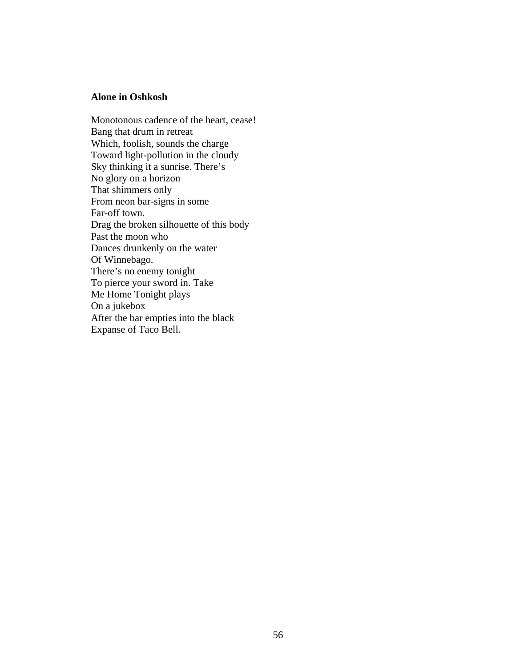## **Alone in Oshkosh**

Monotonous cadence of the heart, cease! Bang that drum in retreat Which, foolish, sounds the charge Toward light-pollution in the cloudy Sky thinking it a sunrise. There's No glory on a horizon That shimmers only From neon bar-signs in some Far-off town. Drag the broken silhouette of this body Past the moon who Dances drunkenly on the water Of Winnebago. There's no enemy tonight To pierce your sword in. Take Me Home Tonight plays On a jukebox After the bar empties into the black Expanse of Taco Bell.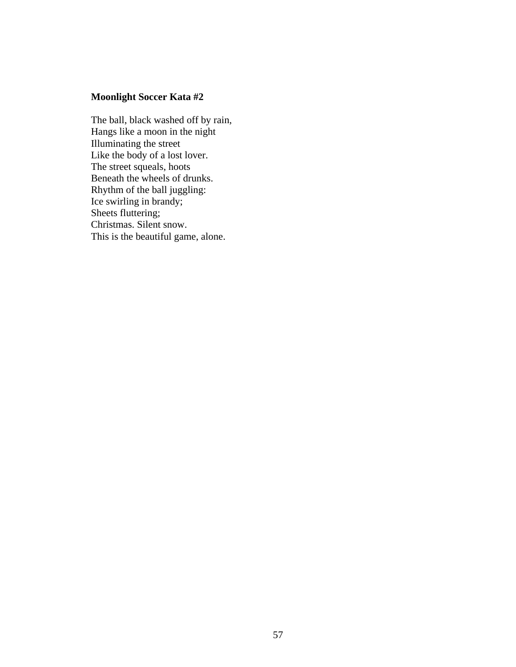# **Moonlight Soccer Kata #2**

The ball, black washed off by rain, Hangs like a moon in the night Illuminating the street Like the body of a lost lover. The street squeals, hoots Beneath the wheels of drunks. Rhythm of the ball juggling: Ice swirling in brandy; Sheets fluttering; Christmas. Silent snow. This is the beautiful game, alone.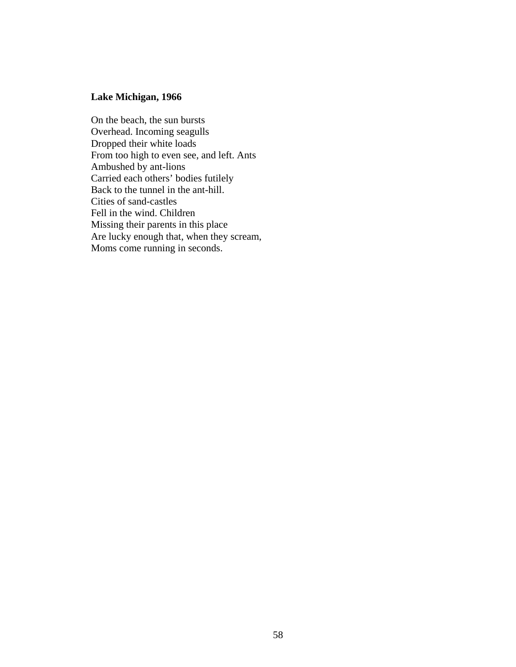# **Lake Michigan, 1966**

On the beach, the sun bursts Overhead. Incoming seagulls Dropped their white loads From too high to even see, and left. Ants Ambushed by ant-lions Carried each others' bodies futilely Back to the tunnel in the ant-hill. Cities of sand-castles Fell in the wind. Children Missing their parents in this place Are lucky enough that, when they scream, Moms come running in seconds.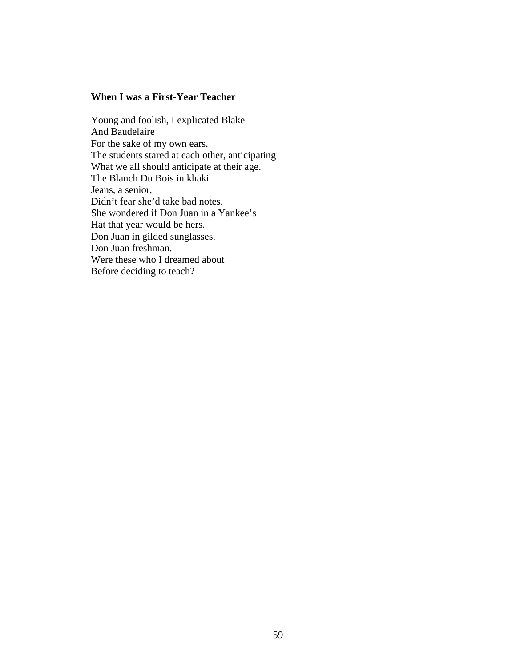### **When I was a First-Year Teacher**

Young and foolish, I explicated Blake And Baudelaire For the sake of my own ears. The students stared at each other, anticipating What we all should anticipate at their age. The Blanch Du Bois in khaki Jeans, a senior, Didn't fear she'd take bad notes. She wondered if Don Juan in a Yankee's Hat that year would be hers. Don Juan in gilded sunglasses. Don Juan freshman. Were these who I dreamed about Before deciding to teach?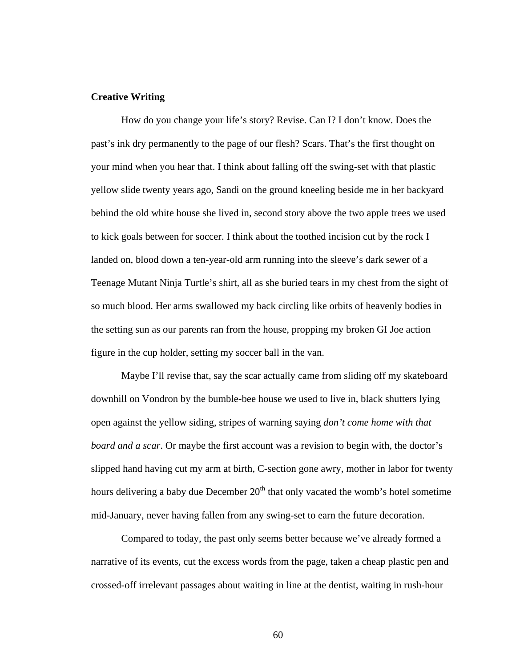#### **Creative Writing**

How do you change your life's story? Revise. Can I? I don't know. Does the past's ink dry permanently to the page of our flesh? Scars. That's the first thought on your mind when you hear that. I think about falling off the swing-set with that plastic yellow slide twenty years ago, Sandi on the ground kneeling beside me in her backyard behind the old white house she lived in, second story above the two apple trees we used to kick goals between for soccer. I think about the toothed incision cut by the rock I landed on, blood down a ten-year-old arm running into the sleeve's dark sewer of a Teenage Mutant Ninja Turtle's shirt, all as she buried tears in my chest from the sight of so much blood. Her arms swallowed my back circling like orbits of heavenly bodies in the setting sun as our parents ran from the house, propping my broken GI Joe action figure in the cup holder, setting my soccer ball in the van.

Maybe I'll revise that, say the scar actually came from sliding off my skateboard downhill on Vondron by the bumble-bee house we used to live in, black shutters lying open against the yellow siding, stripes of warning saying *don't come home with that board and a scar*. Or maybe the first account was a revision to begin with, the doctor's slipped hand having cut my arm at birth, C-section gone awry, mother in labor for twenty hours delivering a baby due December  $20<sup>th</sup>$  that only vacated the womb's hotel sometime mid-January, never having fallen from any swing-set to earn the future decoration.

Compared to today, the past only seems better because we've already formed a narrative of its events, cut the excess words from the page, taken a cheap plastic pen and crossed-off irrelevant passages about waiting in line at the dentist, waiting in rush-hour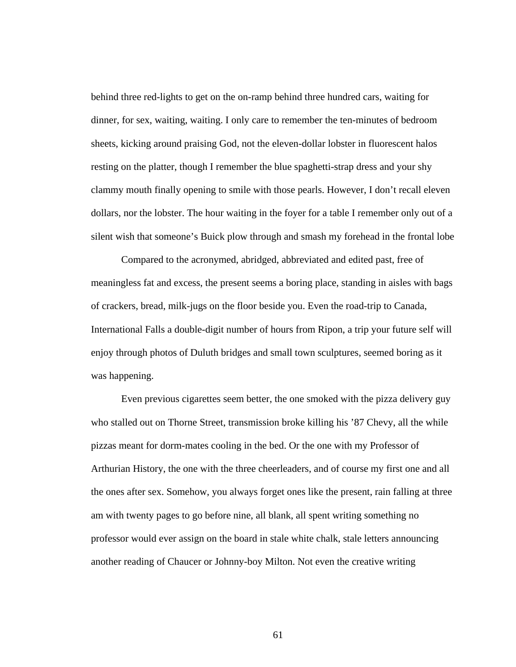behind three red-lights to get on the on-ramp behind three hundred cars, waiting for dinner, for sex, waiting, waiting. I only care to remember the ten-minutes of bedroom sheets, kicking around praising God, not the eleven-dollar lobster in fluorescent halos resting on the platter, though I remember the blue spaghetti-strap dress and your shy clammy mouth finally opening to smile with those pearls. However, I don't recall eleven dollars, nor the lobster. The hour waiting in the foyer for a table I remember only out of a silent wish that someone's Buick plow through and smash my forehead in the frontal lobe

Compared to the acronymed, abridged, abbreviated and edited past, free of meaningless fat and excess, the present seems a boring place, standing in aisles with bags of crackers, bread, milk-jugs on the floor beside you. Even the road-trip to Canada, International Falls a double-digit number of hours from Ripon, a trip your future self will enjoy through photos of Duluth bridges and small town sculptures, seemed boring as it was happening.

Even previous cigarettes seem better, the one smoked with the pizza delivery guy who stalled out on Thorne Street, transmission broke killing his '87 Chevy, all the while pizzas meant for dorm-mates cooling in the bed. Or the one with my Professor of Arthurian History, the one with the three cheerleaders, and of course my first one and all the ones after sex. Somehow, you always forget ones like the present, rain falling at three am with twenty pages to go before nine, all blank, all spent writing something no professor would ever assign on the board in stale white chalk, stale letters announcing another reading of Chaucer or Johnny-boy Milton. Not even the creative writing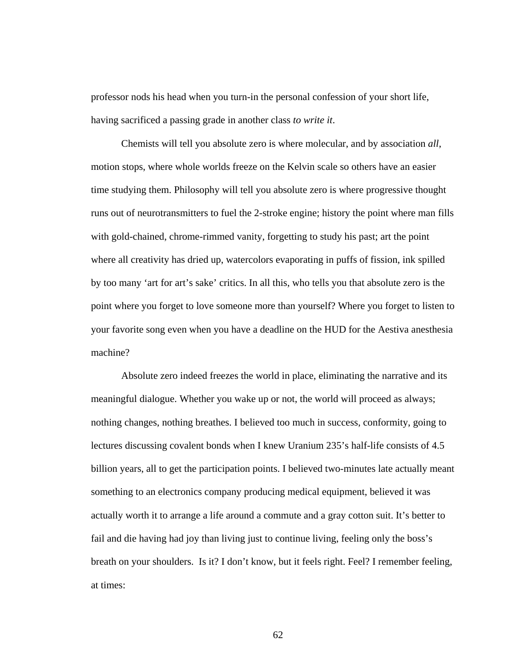professor nods his head when you turn-in the personal confession of your short life, having sacrificed a passing grade in another class *to write it*.

Chemists will tell you absolute zero is where molecular, and by association *all*, motion stops, where whole worlds freeze on the Kelvin scale so others have an easier time studying them. Philosophy will tell you absolute zero is where progressive thought runs out of neurotransmitters to fuel the 2-stroke engine; history the point where man fills with gold-chained, chrome-rimmed vanity, forgetting to study his past; art the point where all creativity has dried up, watercolors evaporating in puffs of fission, ink spilled by too many 'art for art's sake' critics. In all this, who tells you that absolute zero is the point where you forget to love someone more than yourself? Where you forget to listen to your favorite song even when you have a deadline on the HUD for the Aestiva anesthesia machine?

Absolute zero indeed freezes the world in place, eliminating the narrative and its meaningful dialogue. Whether you wake up or not, the world will proceed as always; nothing changes, nothing breathes. I believed too much in success, conformity, going to lectures discussing covalent bonds when I knew Uranium 235's half-life consists of 4.5 billion years, all to get the participation points. I believed two-minutes late actually meant something to an electronics company producing medical equipment, believed it was actually worth it to arrange a life around a commute and a gray cotton suit. It's better to fail and die having had joy than living just to continue living, feeling only the boss's breath on your shoulders. Is it? I don't know, but it feels right. Feel? I remember feeling, at times: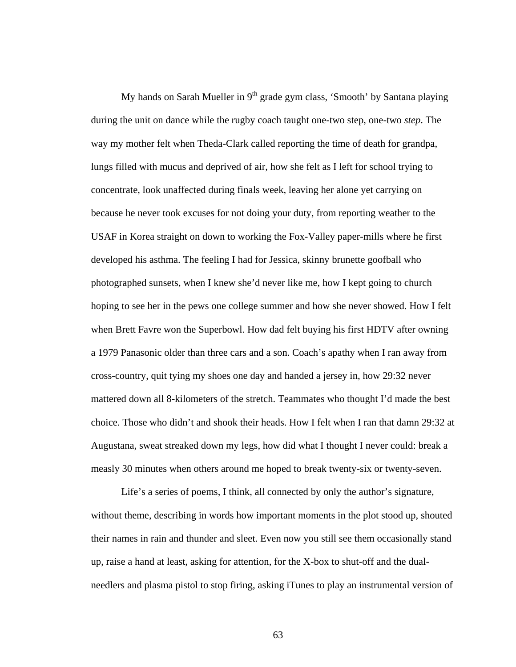My hands on Sarah Mueller in  $9<sup>th</sup>$  grade gym class, 'Smooth' by Santana playing during the unit on dance while the rugby coach taught one-two step, one-two *step*. The way my mother felt when Theda-Clark called reporting the time of death for grandpa, lungs filled with mucus and deprived of air, how she felt as I left for school trying to concentrate, look unaffected during finals week, leaving her alone yet carrying on because he never took excuses for not doing your duty, from reporting weather to the USAF in Korea straight on down to working the Fox-Valley paper-mills where he first developed his asthma. The feeling I had for Jessica, skinny brunette goofball who photographed sunsets, when I knew she'd never like me, how I kept going to church hoping to see her in the pews one college summer and how she never showed. How I felt when Brett Favre won the Superbowl. How dad felt buying his first HDTV after owning a 1979 Panasonic older than three cars and a son. Coach's apathy when I ran away from cross-country, quit tying my shoes one day and handed a jersey in, how 29:32 never mattered down all 8-kilometers of the stretch. Teammates who thought I'd made the best choice. Those who didn't and shook their heads. How I felt when I ran that damn 29:32 at Augustana, sweat streaked down my legs, how did what I thought I never could: break a measly 30 minutes when others around me hoped to break twenty-six or twenty-seven.

Life's a series of poems, I think, all connected by only the author's signature, without theme, describing in words how important moments in the plot stood up, shouted their names in rain and thunder and sleet. Even now you still see them occasionally stand up, raise a hand at least, asking for attention, for the X-box to shut-off and the dualneedlers and plasma pistol to stop firing, asking iTunes to play an instrumental version of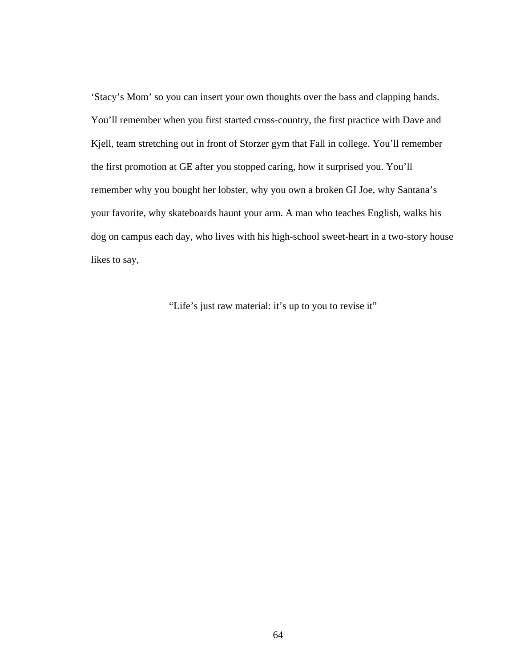'Stacy's Mom' so you can insert your own thoughts over the bass and clapping hands. You'll remember when you first started cross-country, the first practice with Dave and Kjell, team stretching out in front of Storzer gym that Fall in college. You'll remember the first promotion at GE after you stopped caring, how it surprised you. You'll remember why you bought her lobster, why you own a broken GI Joe, why Santana's your favorite, why skateboards haunt your arm. A man who teaches English, walks his dog on campus each day, who lives with his high-school sweet-heart in a two-story house likes to say,

"Life's just raw material: it's up to you to revise it"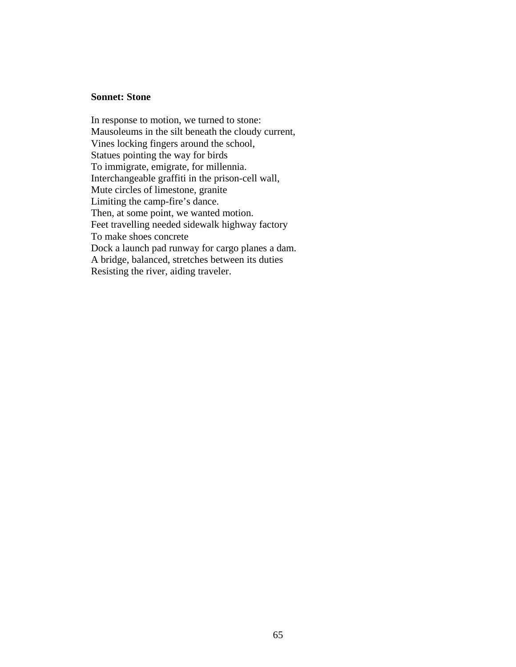#### **Sonnet: Stone**

In response to motion, we turned to stone: Mausoleums in the silt beneath the cloudy current, Vines locking fingers around the school, Statues pointing the way for birds To immigrate, emigrate, for millennia. Interchangeable graffiti in the prison-cell wall, Mute circles of limestone, granite Limiting the camp-fire's dance. Then, at some point, we wanted motion. Feet travelling needed sidewalk highway factory To make shoes concrete Dock a launch pad runway for cargo planes a dam. A bridge, balanced, stretches between its duties Resisting the river, aiding traveler.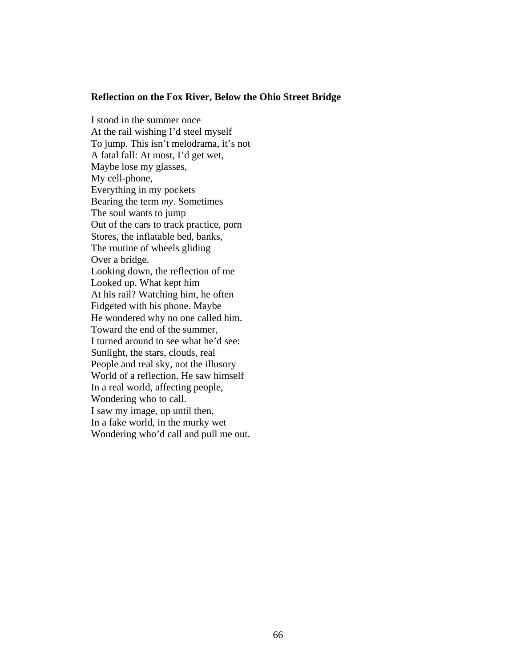#### **Reflection on the Fox River, Below the Ohio Street Bridge**

I stood in the summer once At the rail wishing I'd steel myself To jump. This isn't melodrama, it's not A fatal fall: At most, I'd get wet, Maybe lose my glasses, My cell-phone, Everything in my pockets Bearing the term *my*. Sometimes The soul wants to jump Out of the cars to track practice, porn Stores, the inflatable bed, banks, The routine of wheels gliding Over a bridge. Looking down, the reflection of me Looked up. What kept him At his rail? Watching him, he often Fidgeted with his phone. Maybe He wondered why no one called him. Toward the end of the summer, I turned around to see what he'd see: Sunlight, the stars, clouds, real People and real sky, not the illusory World of a reflection. He saw himself In a real world, affecting people, Wondering who to call. I saw my image, up until then, In a fake world, in the murky wet Wondering who'd call and pull me out.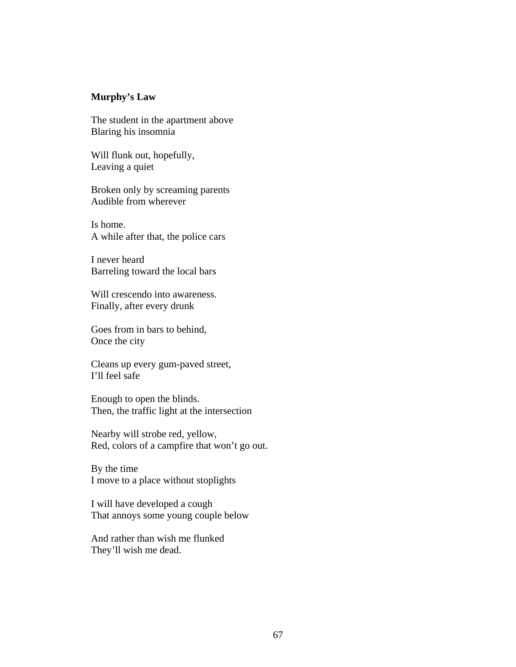# **Murphy's Law**

The student in the apartment above Blaring his insomnia

Will flunk out, hopefully, Leaving a quiet

Broken only by screaming parents Audible from wherever

Is home. A while after that, the police cars

I never heard Barreling toward the local bars

Will crescendo into awareness. Finally, after every drunk

Goes from in bars to behind, Once the city

Cleans up every gum-paved street, I'll feel safe

Enough to open the blinds. Then, the traffic light at the intersection

Nearby will strobe red, yellow, Red, colors of a campfire that won't go out.

By the time I move to a place without stoplights

I will have developed a cough That annoys some young couple below

And rather than wish me flunked They'll wish me dead.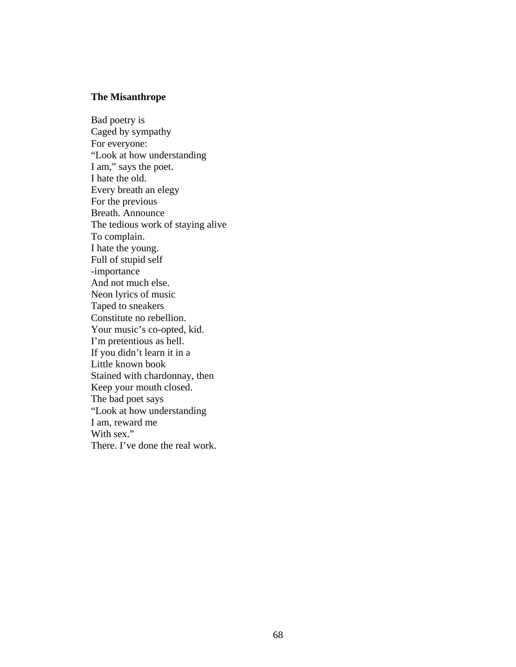# **The Misanthrope**

Bad poetry is Caged by sympathy For everyone: "Look at how understanding I am," says the poet. I hate the old. Every breath an elegy For the previous Breath. Announce The tedious work of staying alive To complain. I hate the young. Full of stupid self -importance And not much else. Neon lyrics of music Taped to sneakers Constitute no rebellion. Your music's co-opted, kid. I'm pretentious as hell. If you didn't learn it in a Little known book Stained with chardonnay, then Keep your mouth closed. The bad poet says "Look at how understanding I am, reward me With sex." There. I've done the real work.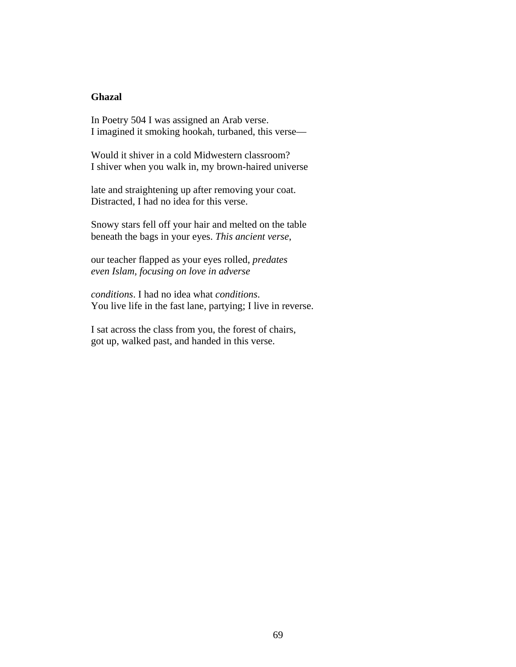# **Ghazal**

In Poetry 504 I was assigned an Arab verse. I imagined it smoking hookah, turbaned, this verse—

Would it shiver in a cold Midwestern classroom? I shiver when you walk in, my brown-haired universe

late and straightening up after removing your coat. Distracted, I had no idea for this verse.

Snowy stars fell off your hair and melted on the table beneath the bags in your eyes. *This ancient verse*,

our teacher flapped as your eyes rolled, *predates even Islam, focusing on love in adverse* 

*conditions*. I had no idea what *conditions*. You live life in the fast lane, partying; I live in reverse.

I sat across the class from you, the forest of chairs, got up, walked past, and handed in this verse.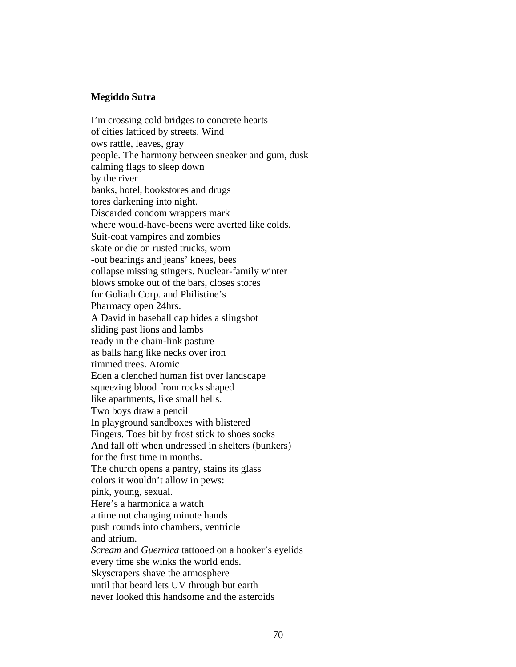# **Megiddo Sutra**

I'm crossing cold bridges to concrete hearts of cities latticed by streets. Wind ows rattle, leaves, gray people. The harmony between sneaker and gum, dusk calming flags to sleep down by the river banks, hotel, bookstores and drugs tores darkening into night. Discarded condom wrappers mark where would-have-beens were averted like colds. Suit-coat vampires and zombies skate or die on rusted trucks, worn -out bearings and jeans' knees, bees collapse missing stingers. Nuclear-family winter blows smoke out of the bars, closes stores for Goliath Corp. and Philistine's Pharmacy open 24hrs. A David in baseball cap hides a slingshot sliding past lions and lambs ready in the chain-link pasture as balls hang like necks over iron rimmed trees. Atomic Eden a clenched human fist over landscape squeezing blood from rocks shaped like apartments, like small hells. Two boys draw a pencil In playground sandboxes with blistered Fingers. Toes bit by frost stick to shoes socks And fall off when undressed in shelters (bunkers) for the first time in months. The church opens a pantry, stains its glass colors it wouldn't allow in pews: pink, young, sexual. Here's a harmonica a watch a time not changing minute hands push rounds into chambers, ventricle and atrium. *Scream* and *Guernica* tattooed on a hooker's eyelids every time she winks the world ends. Skyscrapers shave the atmosphere until that beard lets UV through but earth never looked this handsome and the asteroids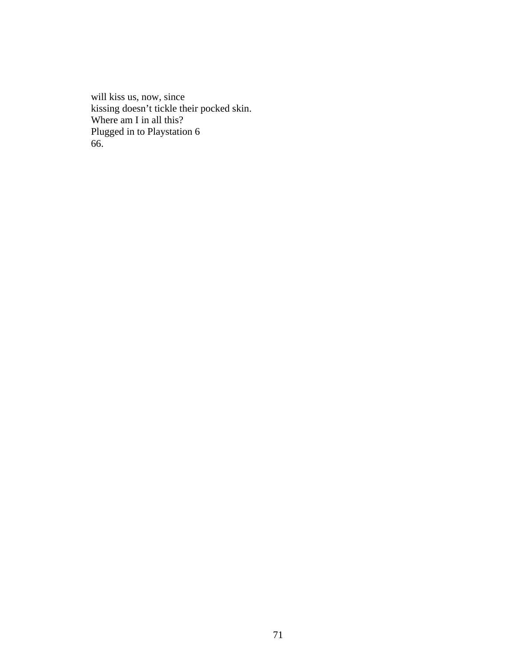will kiss us, now, since kissing doesn't tickle their pocked skin. Where am I in all this? Plugged in to Playstation 6 66.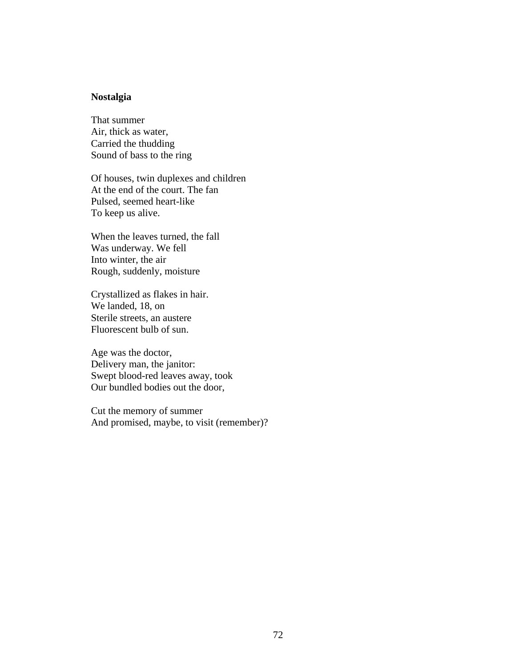# **Nostalgia**

That summer Air, thick as water, Carried the thudding Sound of bass to the ring

Of houses, twin duplexes and children At the end of the court. The fan Pulsed, seemed heart-like To keep us alive.

When the leaves turned, the fall Was underway. We fell Into winter, the air Rough, suddenly, moisture

Crystallized as flakes in hair. We landed, 18, on Sterile streets, an austere Fluorescent bulb of sun.

Age was the doctor, Delivery man, the janitor: Swept blood-red leaves away, took Our bundled bodies out the door,

Cut the memory of summer And promised, maybe, to visit (remember)?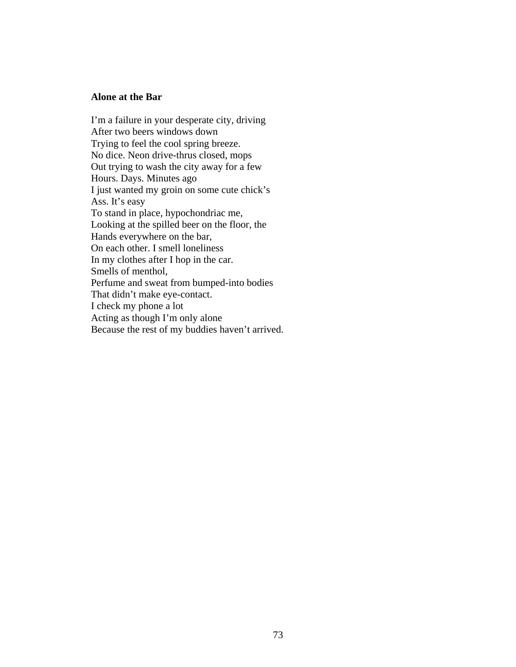## **Alone at the Bar**

I'm a failure in your desperate city, driving After two beers windows down Trying to feel the cool spring breeze. No dice. Neon drive-thrus closed, mops Out trying to wash the city away for a few Hours. Days. Minutes ago I just wanted my groin on some cute chick's Ass. It's easy To stand in place, hypochondriac me, Looking at the spilled beer on the floor, the Hands everywhere on the bar, On each other. I smell loneliness In my clothes after I hop in the car. Smells of menthol, Perfume and sweat from bumped-into bodies That didn't make eye-contact. I check my phone a lot Acting as though I'm only alone Because the rest of my buddies haven't arrived.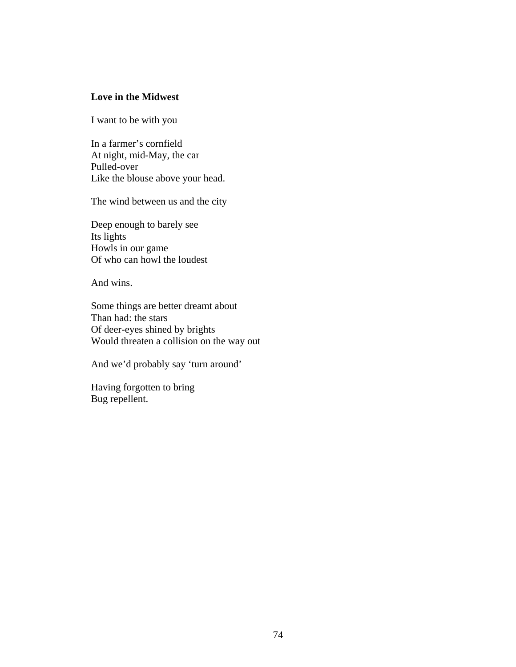# **Love in the Midwest**

I want to be with you

In a farmer's cornfield At night, mid-May, the car Pulled-over Like the blouse above your head.

The wind between us and the city

Deep enough to barely see Its lights Howls in our game Of who can howl the loudest

And wins.

Some things are better dreamt about Than had: the stars Of deer-eyes shined by brights Would threaten a collision on the way out

And we'd probably say 'turn around'

Having forgotten to bring Bug repellent.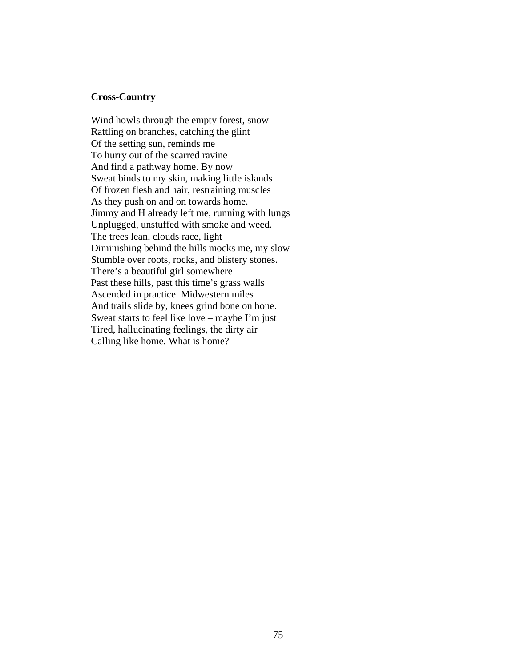## **Cross-Country**

Wind howls through the empty forest, snow Rattling on branches, catching the glint Of the setting sun, reminds me To hurry out of the scarred ravine And find a pathway home. By now Sweat binds to my skin, making little islands Of frozen flesh and hair, restraining muscles As they push on and on towards home. Jimmy and H already left me, running with lungs Unplugged, unstuffed with smoke and weed. The trees lean, clouds race, light Diminishing behind the hills mocks me, my slow Stumble over roots, rocks, and blistery stones. There's a beautiful girl somewhere Past these hills, past this time's grass walls Ascended in practice. Midwestern miles And trails slide by, knees grind bone on bone. Sweat starts to feel like love – maybe I'm just Tired, hallucinating feelings, the dirty air Calling like home. What is home?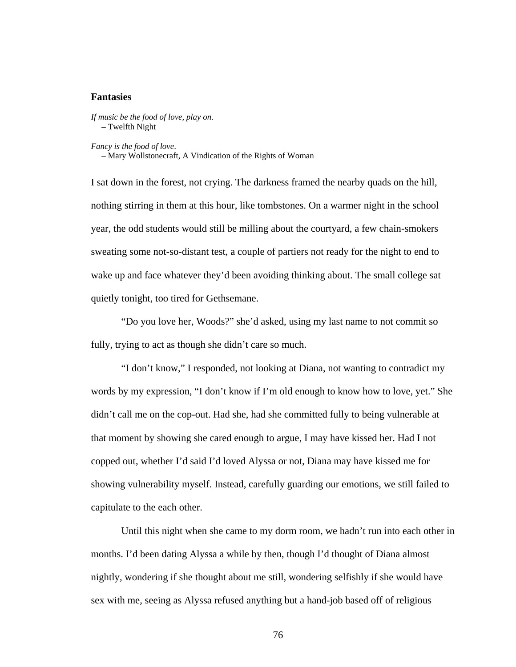### **Fantasies**

*If music be the food of love, play on*. – Twelfth Night

*Fancy is the food of love*.

– Mary Wollstonecraft, A Vindication of the Rights of Woman

I sat down in the forest, not crying. The darkness framed the nearby quads on the hill, nothing stirring in them at this hour, like tombstones. On a warmer night in the school year, the odd students would still be milling about the courtyard, a few chain-smokers sweating some not-so-distant test, a couple of partiers not ready for the night to end to wake up and face whatever they'd been avoiding thinking about. The small college sat quietly tonight, too tired for Gethsemane.

"Do you love her, Woods?" she'd asked, using my last name to not commit so fully, trying to act as though she didn't care so much.

"I don't know," I responded, not looking at Diana, not wanting to contradict my words by my expression, "I don't know if I'm old enough to know how to love, yet." She didn't call me on the cop-out. Had she, had she committed fully to being vulnerable at that moment by showing she cared enough to argue, I may have kissed her. Had I not copped out, whether I'd said I'd loved Alyssa or not, Diana may have kissed me for showing vulnerability myself. Instead, carefully guarding our emotions, we still failed to capitulate to the each other.

Until this night when she came to my dorm room, we hadn't run into each other in months. I'd been dating Alyssa a while by then, though I'd thought of Diana almost nightly, wondering if she thought about me still, wondering selfishly if she would have sex with me, seeing as Alyssa refused anything but a hand-job based off of religious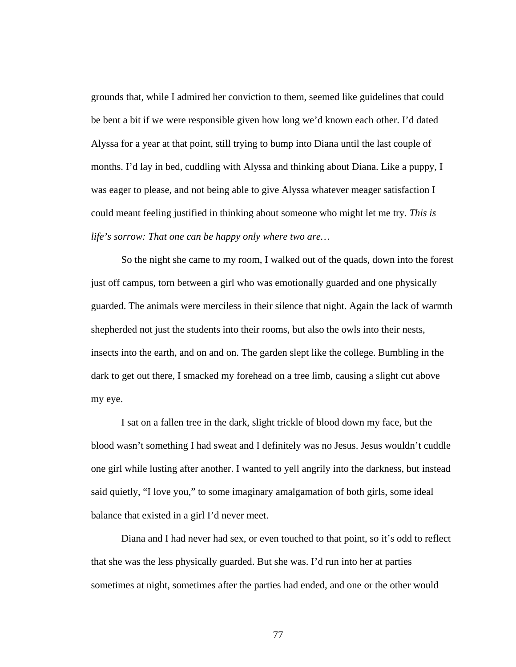grounds that, while I admired her conviction to them, seemed like guidelines that could be bent a bit if we were responsible given how long we'd known each other. I'd dated Alyssa for a year at that point, still trying to bump into Diana until the last couple of months. I'd lay in bed, cuddling with Alyssa and thinking about Diana. Like a puppy, I was eager to please, and not being able to give Alyssa whatever meager satisfaction I could meant feeling justified in thinking about someone who might let me try. *This is life's sorrow: That one can be happy only where two are…*

So the night she came to my room, I walked out of the quads, down into the forest just off campus, torn between a girl who was emotionally guarded and one physically guarded. The animals were merciless in their silence that night. Again the lack of warmth shepherded not just the students into their rooms, but also the owls into their nests, insects into the earth, and on and on. The garden slept like the college. Bumbling in the dark to get out there, I smacked my forehead on a tree limb, causing a slight cut above my eye.

I sat on a fallen tree in the dark, slight trickle of blood down my face, but the blood wasn't something I had sweat and I definitely was no Jesus. Jesus wouldn't cuddle one girl while lusting after another. I wanted to yell angrily into the darkness, but instead said quietly, "I love you," to some imaginary amalgamation of both girls, some ideal balance that existed in a girl I'd never meet.

Diana and I had never had sex, or even touched to that point, so it's odd to reflect that she was the less physically guarded. But she was. I'd run into her at parties sometimes at night, sometimes after the parties had ended, and one or the other would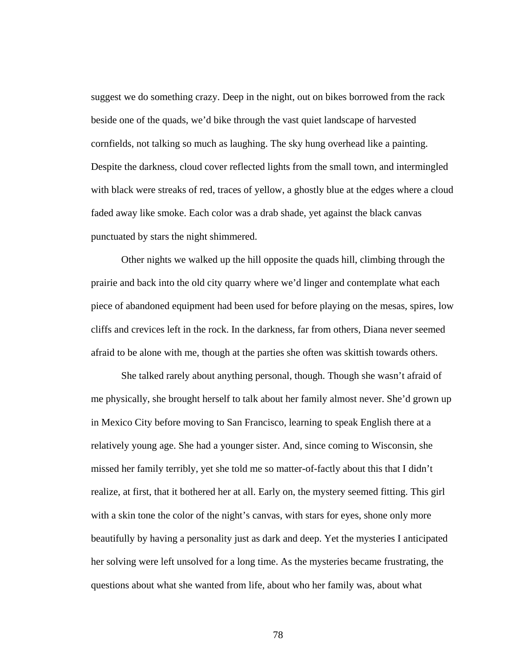suggest we do something crazy. Deep in the night, out on bikes borrowed from the rack beside one of the quads, we'd bike through the vast quiet landscape of harvested cornfields, not talking so much as laughing. The sky hung overhead like a painting. Despite the darkness, cloud cover reflected lights from the small town, and intermingled with black were streaks of red, traces of yellow, a ghostly blue at the edges where a cloud faded away like smoke. Each color was a drab shade, yet against the black canvas punctuated by stars the night shimmered.

Other nights we walked up the hill opposite the quads hill, climbing through the prairie and back into the old city quarry where we'd linger and contemplate what each piece of abandoned equipment had been used for before playing on the mesas, spires, low cliffs and crevices left in the rock. In the darkness, far from others, Diana never seemed afraid to be alone with me, though at the parties she often was skittish towards others.

She talked rarely about anything personal, though. Though she wasn't afraid of me physically, she brought herself to talk about her family almost never. She'd grown up in Mexico City before moving to San Francisco, learning to speak English there at a relatively young age. She had a younger sister. And, since coming to Wisconsin, she missed her family terribly, yet she told me so matter-of-factly about this that I didn't realize, at first, that it bothered her at all. Early on, the mystery seemed fitting. This girl with a skin tone the color of the night's canvas, with stars for eyes, shone only more beautifully by having a personality just as dark and deep. Yet the mysteries I anticipated her solving were left unsolved for a long time. As the mysteries became frustrating, the questions about what she wanted from life, about who her family was, about what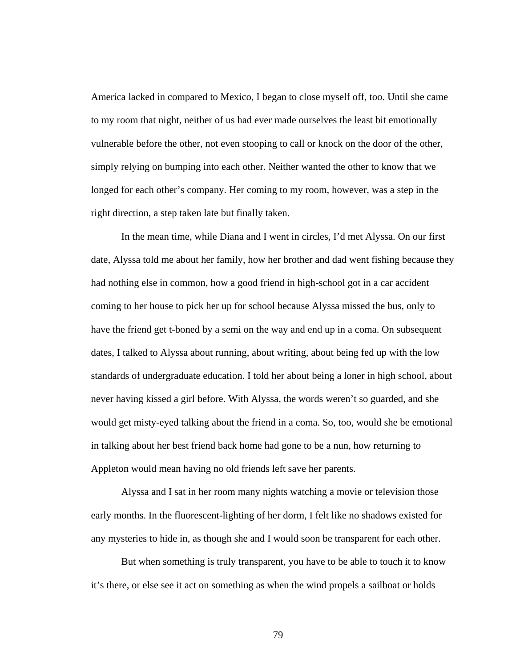America lacked in compared to Mexico, I began to close myself off, too. Until she came to my room that night, neither of us had ever made ourselves the least bit emotionally vulnerable before the other, not even stooping to call or knock on the door of the other, simply relying on bumping into each other. Neither wanted the other to know that we longed for each other's company. Her coming to my room, however, was a step in the right direction, a step taken late but finally taken.

In the mean time, while Diana and I went in circles, I'd met Alyssa. On our first date, Alyssa told me about her family, how her brother and dad went fishing because they had nothing else in common, how a good friend in high-school got in a car accident coming to her house to pick her up for school because Alyssa missed the bus, only to have the friend get t-boned by a semi on the way and end up in a coma. On subsequent dates, I talked to Alyssa about running, about writing, about being fed up with the low standards of undergraduate education. I told her about being a loner in high school, about never having kissed a girl before. With Alyssa, the words weren't so guarded, and she would get misty-eyed talking about the friend in a coma. So, too, would she be emotional in talking about her best friend back home had gone to be a nun, how returning to Appleton would mean having no old friends left save her parents.

Alyssa and I sat in her room many nights watching a movie or television those early months. In the fluorescent-lighting of her dorm, I felt like no shadows existed for any mysteries to hide in, as though she and I would soon be transparent for each other.

But when something is truly transparent, you have to be able to touch it to know it's there, or else see it act on something as when the wind propels a sailboat or holds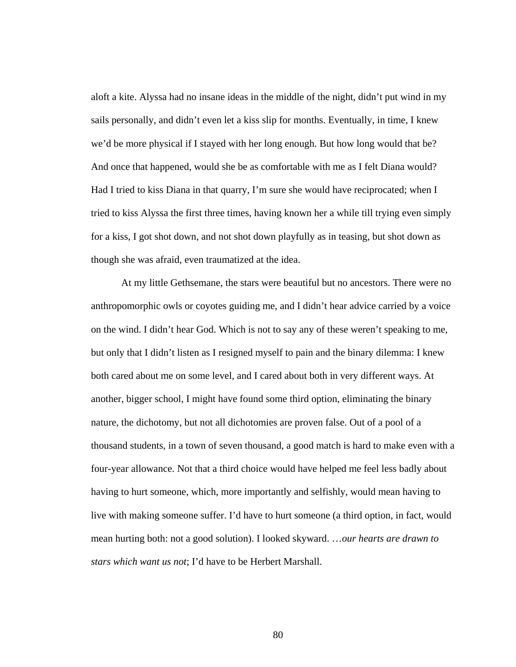aloft a kite. Alyssa had no insane ideas in the middle of the night, didn't put wind in my sails personally, and didn't even let a kiss slip for months. Eventually, in time, I knew we'd be more physical if I stayed with her long enough. But how long would that be? And once that happened, would she be as comfortable with me as I felt Diana would? Had I tried to kiss Diana in that quarry, I'm sure she would have reciprocated; when I tried to kiss Alyssa the first three times, having known her a while till trying even simply for a kiss, I got shot down, and not shot down playfully as in teasing, but shot down as though she was afraid, even traumatized at the idea.

At my little Gethsemane, the stars were beautiful but no ancestors. There were no anthropomorphic owls or coyotes guiding me, and I didn't hear advice carried by a voice on the wind. I didn't hear God. Which is not to say any of these weren't speaking to me, but only that I didn't listen as I resigned myself to pain and the binary dilemma: I knew both cared about me on some level, and I cared about both in very different ways. At another, bigger school, I might have found some third option, eliminating the binary nature, the dichotomy, but not all dichotomies are proven false. Out of a pool of a thousand students, in a town of seven thousand, a good match is hard to make even with a four-year allowance. Not that a third choice would have helped me feel less badly about having to hurt someone, which, more importantly and selfishly, would mean having to live with making someone suffer. I'd have to hurt someone (a third option, in fact, would mean hurting both: not a good solution). I looked skyward. …*our hearts are drawn to stars which want us not*; I'd have to be Herbert Marshall.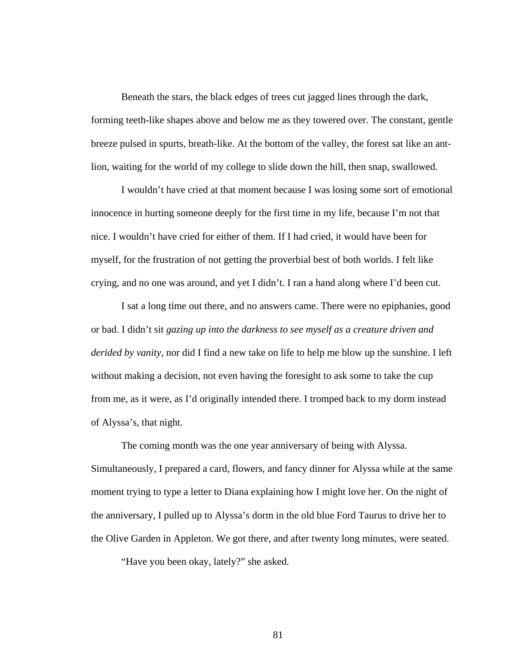Beneath the stars, the black edges of trees cut jagged lines through the dark, forming teeth-like shapes above and below me as they towered over. The constant, gentle breeze pulsed in spurts, breath-like. At the bottom of the valley, the forest sat like an antlion, waiting for the world of my college to slide down the hill, then snap, swallowed.

I wouldn't have cried at that moment because I was losing some sort of emotional innocence in hurting someone deeply for the first time in my life, because I'm not that nice. I wouldn't have cried for either of them. If I had cried, it would have been for myself, for the frustration of not getting the proverbial best of both worlds. I felt like crying, and no one was around, and yet I didn't. I ran a hand along where I'd been cut.

I sat a long time out there, and no answers came. There were no epiphanies, good or bad. I didn't sit *gazing up into the darkness to see myself as a creature driven and derided by vanity*, nor did I find a new take on life to help me blow up the sunshine. I left without making a decision, not even having the foresight to ask some to take the cup from me, as it were, as I'd originally intended there. I tromped back to my dorm instead of Alyssa's, that night.

The coming month was the one year anniversary of being with Alyssa. Simultaneously, I prepared a card, flowers, and fancy dinner for Alyssa while at the same moment trying to type a letter to Diana explaining how I might love her. On the night of the anniversary, I pulled up to Alyssa's dorm in the old blue Ford Taurus to drive her to the Olive Garden in Appleton. We got there, and after twenty long minutes, were seated.

"Have you been okay, lately?" she asked.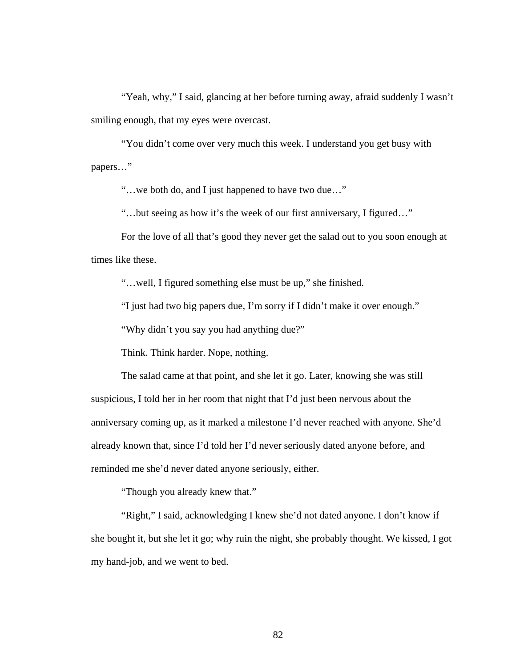"Yeah, why," I said, glancing at her before turning away, afraid suddenly I wasn't smiling enough, that my eyes were overcast.

"You didn't come over very much this week. I understand you get busy with papers…"

"…we both do, and I just happened to have two due…"

"…but seeing as how it's the week of our first anniversary, I figured…"

For the love of all that's good they never get the salad out to you soon enough at times like these.

"…well, I figured something else must be up," she finished.

"I just had two big papers due, I'm sorry if I didn't make it over enough."

"Why didn't you say you had anything due?"

Think. Think harder. Nope, nothing.

The salad came at that point, and she let it go. Later, knowing she was still suspicious, I told her in her room that night that I'd just been nervous about the anniversary coming up, as it marked a milestone I'd never reached with anyone. She'd already known that, since I'd told her I'd never seriously dated anyone before, and reminded me she'd never dated anyone seriously, either.

"Though you already knew that."

"Right," I said, acknowledging I knew she'd not dated anyone. I don't know if she bought it, but she let it go; why ruin the night, she probably thought. We kissed, I got my hand-job, and we went to bed.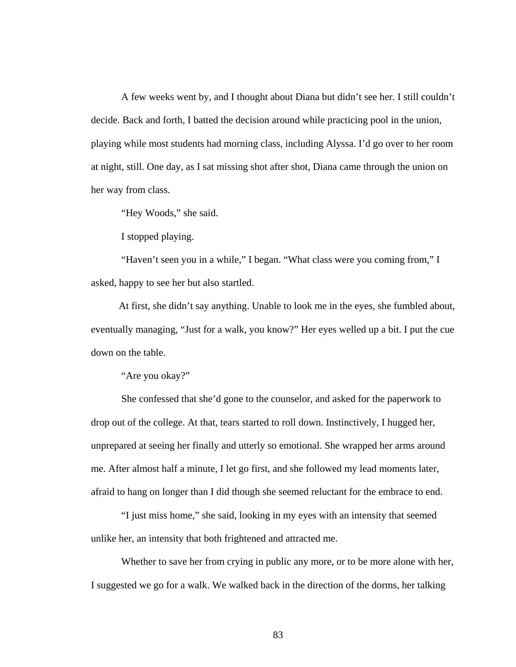A few weeks went by, and I thought about Diana but didn't see her. I still couldn't decide. Back and forth, I batted the decision around while practicing pool in the union, playing while most students had morning class, including Alyssa. I'd go over to her room at night, still. One day, as I sat missing shot after shot, Diana came through the union on her way from class.

"Hey Woods," she said.

I stopped playing.

"Haven't seen you in a while," I began. "What class were you coming from," I asked, happy to see her but also startled.

At first, she didn't say anything. Unable to look me in the eyes, she fumbled about, eventually managing, "Just for a walk, you know?" Her eyes welled up a bit. I put the cue down on the table.

"Are you okay?"

She confessed that she'd gone to the counselor, and asked for the paperwork to drop out of the college. At that, tears started to roll down. Instinctively, I hugged her, unprepared at seeing her finally and utterly so emotional. She wrapped her arms around me. After almost half a minute, I let go first, and she followed my lead moments later, afraid to hang on longer than I did though she seemed reluctant for the embrace to end.

"I just miss home," she said, looking in my eyes with an intensity that seemed unlike her, an intensity that both frightened and attracted me.

Whether to save her from crying in public any more, or to be more alone with her, I suggested we go for a walk. We walked back in the direction of the dorms, her talking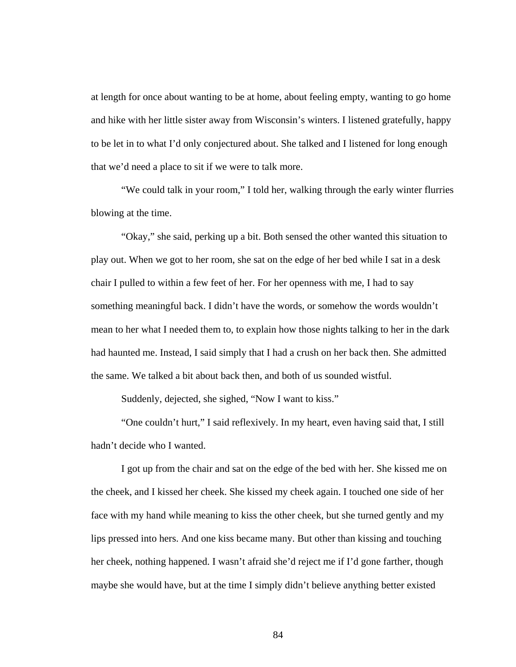at length for once about wanting to be at home, about feeling empty, wanting to go home and hike with her little sister away from Wisconsin's winters. I listened gratefully, happy to be let in to what I'd only conjectured about. She talked and I listened for long enough that we'd need a place to sit if we were to talk more.

"We could talk in your room," I told her, walking through the early winter flurries blowing at the time.

"Okay," she said, perking up a bit. Both sensed the other wanted this situation to play out. When we got to her room, she sat on the edge of her bed while I sat in a desk chair I pulled to within a few feet of her. For her openness with me, I had to say something meaningful back. I didn't have the words, or somehow the words wouldn't mean to her what I needed them to, to explain how those nights talking to her in the dark had haunted me. Instead, I said simply that I had a crush on her back then. She admitted the same. We talked a bit about back then, and both of us sounded wistful.

Suddenly, dejected, she sighed, "Now I want to kiss."

"One couldn't hurt," I said reflexively. In my heart, even having said that, I still hadn't decide who I wanted.

I got up from the chair and sat on the edge of the bed with her. She kissed me on the cheek, and I kissed her cheek. She kissed my cheek again. I touched one side of her face with my hand while meaning to kiss the other cheek, but she turned gently and my lips pressed into hers. And one kiss became many. But other than kissing and touching her cheek, nothing happened. I wasn't afraid she'd reject me if I'd gone farther, though maybe she would have, but at the time I simply didn't believe anything better existed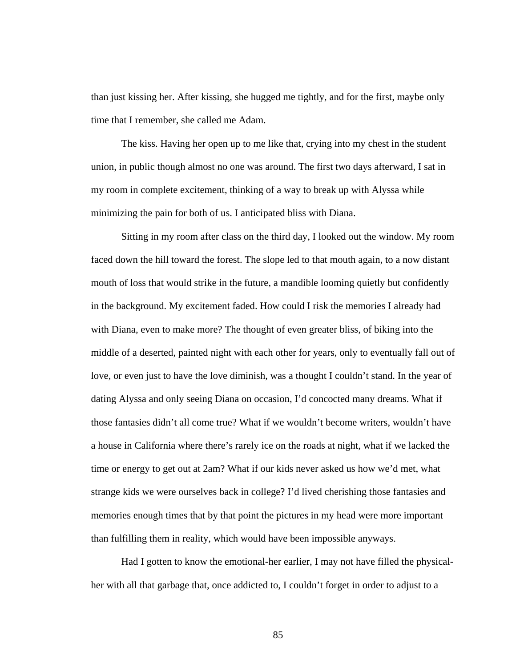than just kissing her. After kissing, she hugged me tightly, and for the first, maybe only time that I remember, she called me Adam.

The kiss. Having her open up to me like that, crying into my chest in the student union, in public though almost no one was around. The first two days afterward, I sat in my room in complete excitement, thinking of a way to break up with Alyssa while minimizing the pain for both of us. I anticipated bliss with Diana.

Sitting in my room after class on the third day, I looked out the window. My room faced down the hill toward the forest. The slope led to that mouth again, to a now distant mouth of loss that would strike in the future, a mandible looming quietly but confidently in the background. My excitement faded. How could I risk the memories I already had with Diana, even to make more? The thought of even greater bliss, of biking into the middle of a deserted, painted night with each other for years, only to eventually fall out of love, or even just to have the love diminish, was a thought I couldn't stand. In the year of dating Alyssa and only seeing Diana on occasion, I'd concocted many dreams. What if those fantasies didn't all come true? What if we wouldn't become writers, wouldn't have a house in California where there's rarely ice on the roads at night, what if we lacked the time or energy to get out at 2am? What if our kids never asked us how we'd met, what strange kids we were ourselves back in college? I'd lived cherishing those fantasies and memories enough times that by that point the pictures in my head were more important than fulfilling them in reality, which would have been impossible anyways.

Had I gotten to know the emotional-her earlier, I may not have filled the physicalher with all that garbage that, once addicted to, I couldn't forget in order to adjust to a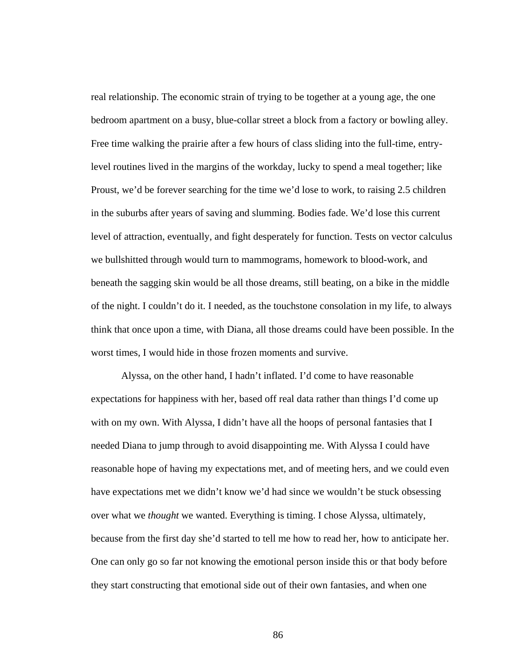real relationship. The economic strain of trying to be together at a young age, the one bedroom apartment on a busy, blue-collar street a block from a factory or bowling alley. Free time walking the prairie after a few hours of class sliding into the full-time, entrylevel routines lived in the margins of the workday, lucky to spend a meal together; like Proust, we'd be forever searching for the time we'd lose to work, to raising 2.5 children in the suburbs after years of saving and slumming. Bodies fade. We'd lose this current level of attraction, eventually, and fight desperately for function. Tests on vector calculus we bullshitted through would turn to mammograms, homework to blood-work, and beneath the sagging skin would be all those dreams, still beating, on a bike in the middle of the night. I couldn't do it. I needed, as the touchstone consolation in my life, to always think that once upon a time, with Diana, all those dreams could have been possible. In the worst times, I would hide in those frozen moments and survive.

Alyssa, on the other hand, I hadn't inflated. I'd come to have reasonable expectations for happiness with her, based off real data rather than things I'd come up with on my own. With Alyssa, I didn't have all the hoops of personal fantasies that I needed Diana to jump through to avoid disappointing me. With Alyssa I could have reasonable hope of having my expectations met, and of meeting hers, and we could even have expectations met we didn't know we'd had since we wouldn't be stuck obsessing over what we *thought* we wanted. Everything is timing. I chose Alyssa, ultimately, because from the first day she'd started to tell me how to read her, how to anticipate her. One can only go so far not knowing the emotional person inside this or that body before they start constructing that emotional side out of their own fantasies, and when one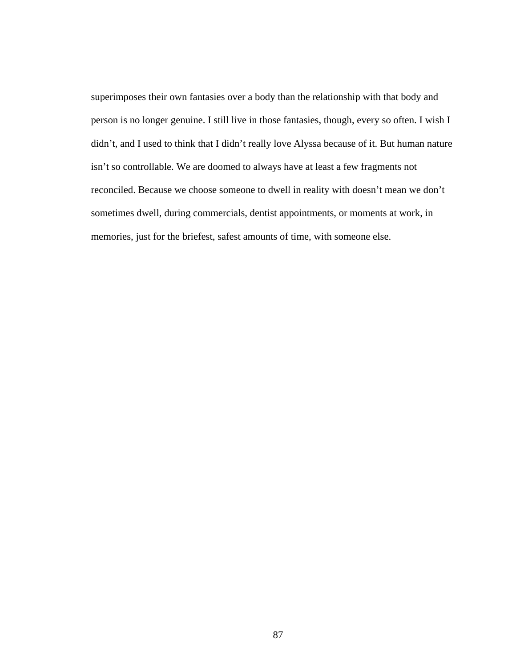superimposes their own fantasies over a body than the relationship with that body and person is no longer genuine. I still live in those fantasies, though, every so often. I wish I didn't, and I used to think that I didn't really love Alyssa because of it. But human nature isn't so controllable. We are doomed to always have at least a few fragments not reconciled. Because we choose someone to dwell in reality with doesn't mean we don't sometimes dwell, during commercials, dentist appointments, or moments at work, in memories, just for the briefest, safest amounts of time, with someone else.